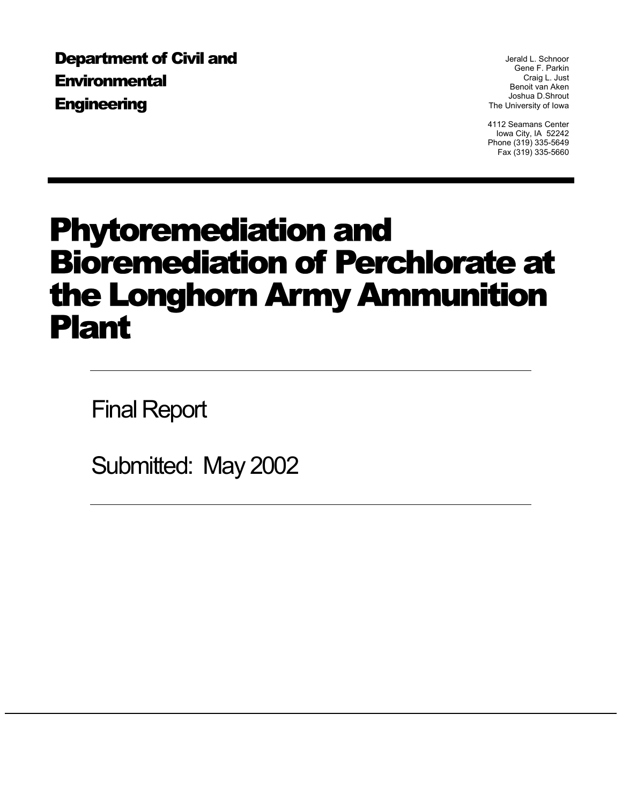Department of Civil and **Environmental Engineering** 

Jerald L. Schnoor Gene F. Parkin Craig L. Just Benoit van Aken Joshua D.Shrout The University of Iowa

4112 Seamans Center Iowa City, IA 52242 Phone (319) 335-5649 Fax (319) 335-5660

# Phytoremediation and Bioremediation of Perchlorate at the Longhorn Army Ammunition Plant

Final Report

Submitted: May 2002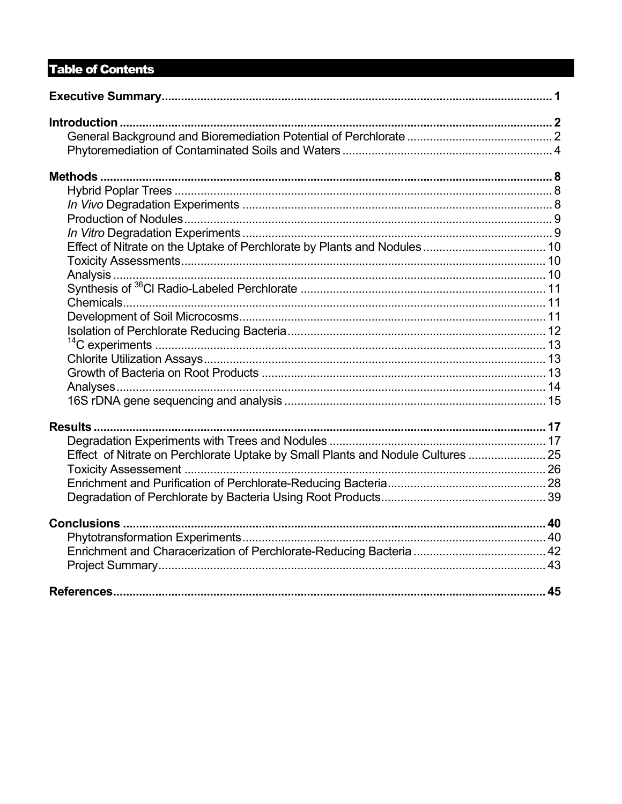# **Table of Contents**

| Effect of Nitrate on Perchlorate Uptake by Small Plants and Nodule Cultures  25 |  |
|---------------------------------------------------------------------------------|--|
|                                                                                 |  |
|                                                                                 |  |
|                                                                                 |  |
|                                                                                 |  |
|                                                                                 |  |
|                                                                                 |  |
|                                                                                 |  |
|                                                                                 |  |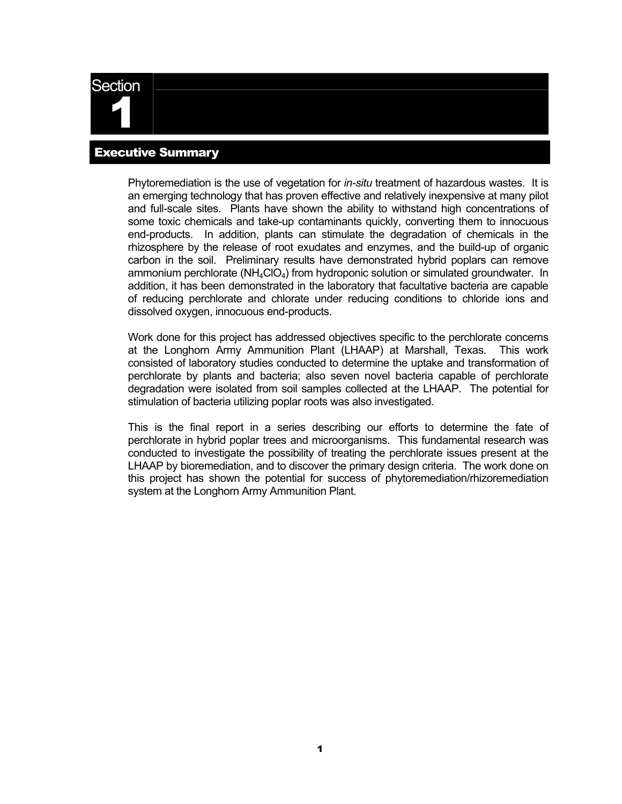<span id="page-2-0"></span>

## Executive Summary

Phytoremediation is the use of vegetation for *in-situ* treatment of hazardous wastes. It is an emerging technology that has proven effective and relatively inexpensive at many pilot and full-scale sites. Plants have shown the ability to withstand high concentrations of some toxic chemicals and take-up contaminants quickly, converting them to innocuous end-products. In addition, plants can stimulate the degradation of chemicals in the rhizosphere by the release of root exudates and enzymes, and the build-up of organic carbon in the soil. Preliminary results have demonstrated hybrid poplars can remove ammonium perchlorate ( $NH_4ClO_4$ ) from hydroponic solution or simulated groundwater. In addition, it has been demonstrated in the laboratory that facultative bacteria are capable of reducing perchlorate and chlorate under reducing conditions to chloride ions and dissolved oxygen, innocuous end-products.

Work done for this project has addressed objectives specific to the perchlorate concerns at the Longhorn Army Ammunition Plant (LHAAP) at Marshall, Texas. This work consisted of laboratory studies conducted to determine the uptake and transformation of perchlorate by plants and bacteria; also seven novel bacteria capable of perchlorate degradation were isolated from soil samples collected at the LHAAP. The potential for stimulation of bacteria utilizing poplar roots was also investigated.

This is the final report in a series describing our efforts to determine the fate of perchlorate in hybrid poplar trees and microorganisms. This fundamental research was conducted to investigate the possibility of treating the perchlorate issues present at the LHAAP by bioremediation, and to discover the primary design criteria. The work done on this project has shown the potential for success of phytoremediation/rhizoremediation system at the Longhorn Army Ammunition Plant.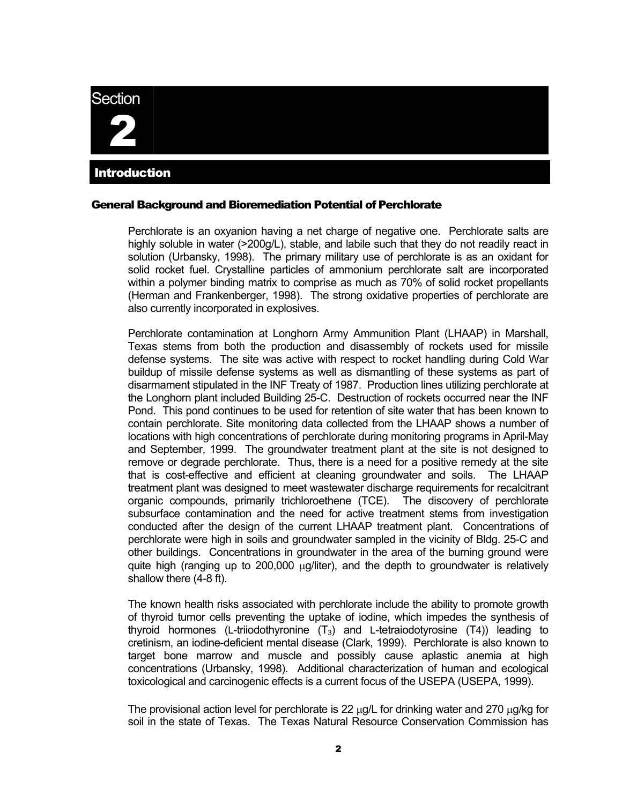# <span id="page-3-0"></span>**Section** 2 Introduction

#### General Background and Bioremediation Potential of Perchlorate

Perchlorate is an oxyanion having a net charge of negative one. Perchlorate salts are highly soluble in water (>200g/L), stable, and labile such that they do not readily react in solution (Urbansky, 1998). The primary military use of perchlorate is as an oxidant for solid rocket fuel. Crystalline particles of ammonium perchlorate salt are incorporated within a polymer binding matrix to comprise as much as 70% of solid rocket propellants (Herman and Frankenberger, 1998). The strong oxidative properties of perchlorate are also currently incorporated in explosives.

Perchlorate contamination at Longhorn Army Ammunition Plant (LHAAP) in Marshall, Texas stems from both the production and disassembly of rockets used for missile defense systems. The site was active with respect to rocket handling during Cold War buildup of missile defense systems as well as dismantling of these systems as part of disarmament stipulated in the INF Treaty of 1987. Production lines utilizing perchlorate at the Longhorn plant included Building 25-C. Destruction of rockets occurred near the INF Pond. This pond continues to be used for retention of site water that has been known to contain perchlorate. Site monitoring data collected from the LHAAP shows a number of locations with high concentrations of perchlorate during monitoring programs in April-May and September, 1999. The groundwater treatment plant at the site is not designed to remove or degrade perchlorate. Thus, there is a need for a positive remedy at the site that is cost-effective and efficient at cleaning groundwater and soils. The LHAAP treatment plant was designed to meet wastewater discharge requirements for recalcitrant organic compounds, primarily trichloroethene (TCE). The discovery of perchlorate subsurface contamination and the need for active treatment stems from investigation conducted after the design of the current LHAAP treatment plant. Concentrations of perchlorate were high in soils and groundwater sampled in the vicinity of Bldg. 25-C and other buildings. Concentrations in groundwater in the area of the burning ground were quite high (ranging up to 200,000 µg/liter), and the depth to groundwater is relatively shallow there (4-8 ft).

The known health risks associated with perchlorate include the ability to promote growth of thyroid tumor cells preventing the uptake of iodine, which impedes the synthesis of thyroid hormones (L-triiodothyronine  $(T_3)$  and L-tetraiodotyrosine  $(T_4)$ ) leading to cretinism, an iodine-deficient mental disease (Clark, 1999). Perchlorate is also known to target bone marrow and muscle and possibly cause aplastic anemia at high concentrations (Urbansky, 1998). Additional characterization of human and ecological toxicological and carcinogenic effects is a current focus of the USEPA (USEPA, 1999).

The provisional action level for perchlorate is 22  $\mu$ g/L for drinking water and 270  $\mu$ g/kg for soil in the state of Texas. The Texas Natural Resource Conservation Commission has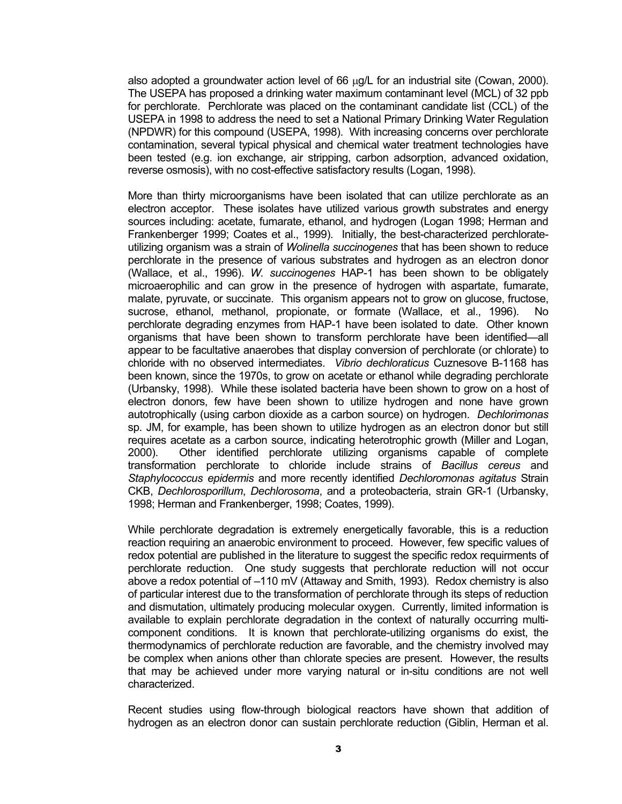also adopted a groundwater action level of 66  $\mu$ g/L for an industrial site (Cowan, 2000). The USEPA has proposed a drinking water maximum contaminant level (MCL) of 32 ppb for perchlorate. Perchlorate was placed on the contaminant candidate list (CCL) of the USEPA in 1998 to address the need to set a National Primary Drinking Water Regulation (NPDWR) for this compound (USEPA, 1998). With increasing concerns over perchlorate contamination, several typical physical and chemical water treatment technologies have been tested (e.g. ion exchange, air stripping, carbon adsorption, advanced oxidation, reverse osmosis), with no cost-effective satisfactory results (Logan, 1998).

More than thirty microorganisms have been isolated that can utilize perchlorate as an electron acceptor. These isolates have utilized various growth substrates and energy sources including: acetate, fumarate, ethanol, and hydrogen (Logan 1998; Herman and Frankenberger 1999; Coates et al., 1999). Initially, the best-characterized perchlorateutilizing organism was a strain of *Wolinella succinogenes* that has been shown to reduce perchlorate in the presence of various substrates and hydrogen as an electron donor (Wallace, et al., 1996). *W. succinogenes* HAP-1 has been shown to be obligately microaerophilic and can grow in the presence of hydrogen with aspartate, fumarate, malate, pyruvate, or succinate. This organism appears not to grow on glucose, fructose, sucrose, ethanol, methanol, propionate, or formate (Wallace, et al., 1996). No perchlorate degrading enzymes from HAP-1 have been isolated to date. Other known organisms that have been shown to transform perchlorate have been identified—all appear to be facultative anaerobes that display conversion of perchlorate (or chlorate) to chloride with no observed intermediates. *Vibrio dechloraticus* Cuznesove B-1168 has been known, since the 1970s, to grow on acetate or ethanol while degrading perchlorate (Urbansky, 1998). While these isolated bacteria have been shown to grow on a host of electron donors, few have been shown to utilize hydrogen and none have grown autotrophically (using carbon dioxide as a carbon source) on hydrogen. *Dechlorimonas* sp. JM, for example, has been shown to utilize hydrogen as an electron donor but still requires acetate as a carbon source, indicating heterotrophic growth (Miller and Logan, 2000). Other identified perchlorate utilizing organisms capable of complete transformation perchlorate to chloride include strains of *Bacillus cereus* and *Staphylococcus epidermis* and more recently identified *Dechloromonas agitatus* Strain CKB, *Dechlorosporillum*, *Dechlorosoma*, and a proteobacteria, strain GR-1 (Urbansky, 1998; Herman and Frankenberger, 1998; Coates, 1999).

While perchlorate degradation is extremely energetically favorable, this is a reduction reaction requiring an anaerobic environment to proceed. However, few specific values of redox potential are published in the literature to suggest the specific redox requirments of perchlorate reduction. One study suggests that perchlorate reduction will not occur above a redox potential of –110 mV (Attaway and Smith, 1993). Redox chemistry is also of particular interest due to the transformation of perchlorate through its steps of reduction and dismutation, ultimately producing molecular oxygen. Currently, limited information is available to explain perchlorate degradation in the context of naturally occurring multicomponent conditions. It is known that perchlorate-utilizing organisms do exist, the thermodynamics of perchlorate reduction are favorable, and the chemistry involved may be complex when anions other than chlorate species are present. However, the results that may be achieved under more varying natural or in-situ conditions are not well characterized.

Recent studies using flow-through biological reactors have shown that addition of hydrogen as an electron donor can sustain perchlorate reduction (Giblin, Herman et al.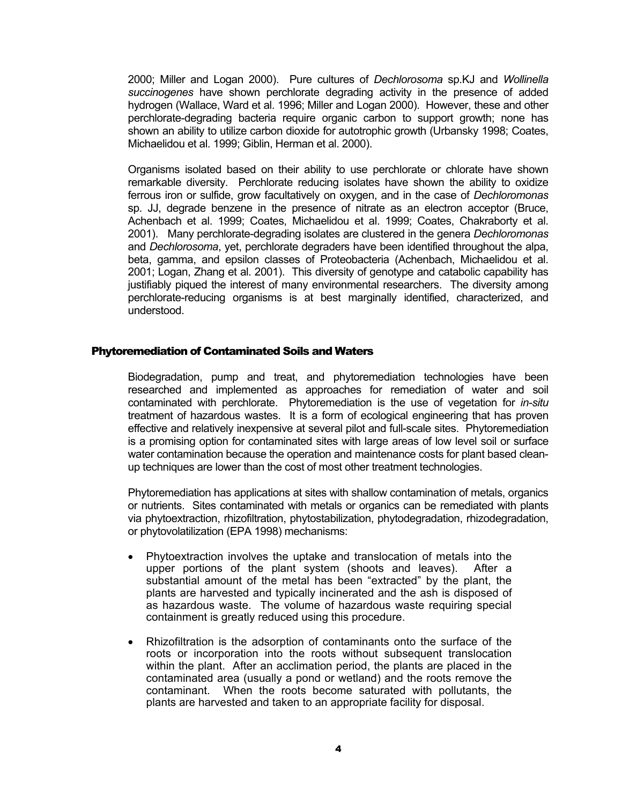<span id="page-5-0"></span>2000; Miller and Logan 2000). Pure cultures of *Dechlorosoma* sp.KJ and *Wollinella succinogenes* have shown perchlorate degrading activity in the presence of added hydrogen (Wallace, Ward et al. 1996; Miller and Logan 2000). However, these and other perchlorate-degrading bacteria require organic carbon to support growth; none has shown an ability to utilize carbon dioxide for autotrophic growth (Urbansky 1998; Coates, Michaelidou et al. 1999; Giblin, Herman et al. 2000).

Organisms isolated based on their ability to use perchlorate or chlorate have shown remarkable diversity. Perchlorate reducing isolates have shown the ability to oxidize ferrous iron or sulfide, grow facultatively on oxygen, and in the case of *Dechloromonas*  sp. JJ, degrade benzene in the presence of nitrate as an electron acceptor (Bruce, Achenbach et al. 1999; Coates, Michaelidou et al. 1999; Coates, Chakraborty et al. 2001). Many perchlorate-degrading isolates are clustered in the genera *Dechloromonas* and *Dechlorosoma*, yet, perchlorate degraders have been identified throughout the alpa, beta, gamma, and epsilon classes of Proteobacteria (Achenbach, Michaelidou et al. 2001; Logan, Zhang et al. 2001). This diversity of genotype and catabolic capability has justifiably piqued the interest of many environmental researchers. The diversity among perchlorate-reducing organisms is at best marginally identified, characterized, and understood.

#### Phytoremediation of Contaminated Soils and Waters

Biodegradation, pump and treat, and phytoremediation technologies have been researched and implemented as approaches for remediation of water and soil contaminated with perchlorate. Phytoremediation is the use of vegetation for *in-situ* treatment of hazardous wastes. It is a form of ecological engineering that has proven effective and relatively inexpensive at several pilot and full-scale sites. Phytoremediation is a promising option for contaminated sites with large areas of low level soil or surface water contamination because the operation and maintenance costs for plant based cleanup techniques are lower than the cost of most other treatment technologies.

Phytoremediation has applications at sites with shallow contamination of metals, organics or nutrients. Sites contaminated with metals or organics can be remediated with plants via phytoextraction, rhizofiltration, phytostabilization, phytodegradation, rhizodegradation, or phytovolatilization (EPA 1998) mechanisms:

- Phytoextraction involves the uptake and translocation of metals into the upper portions of the plant system (shoots and leaves). After a substantial amount of the metal has been "extracted" by the plant, the plants are harvested and typically incinerated and the ash is disposed of as hazardous waste. The volume of hazardous waste requiring special containment is greatly reduced using this procedure.
- Rhizofiltration is the adsorption of contaminants onto the surface of the roots or incorporation into the roots without subsequent translocation within the plant. After an acclimation period, the plants are placed in the contaminated area (usually a pond or wetland) and the roots remove the contaminant. When the roots become saturated with pollutants, the plants are harvested and taken to an appropriate facility for disposal.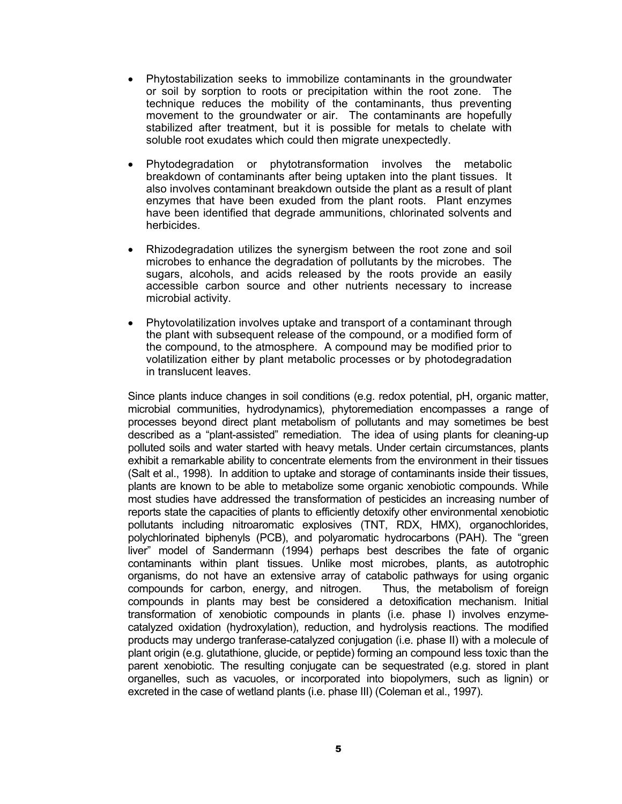- Phytostabilization seeks to immobilize contaminants in the groundwater or soil by sorption to roots or precipitation within the root zone. The technique reduces the mobility of the contaminants, thus preventing movement to the groundwater or air. The contaminants are hopefully stabilized after treatment, but it is possible for metals to chelate with soluble root exudates which could then migrate unexpectedly.
- Phytodegradation or phytotransformation involves the metabolic breakdown of contaminants after being uptaken into the plant tissues. It also involves contaminant breakdown outside the plant as a result of plant enzymes that have been exuded from the plant roots. Plant enzymes have been identified that degrade ammunitions, chlorinated solvents and herbicides.
- Rhizodegradation utilizes the synergism between the root zone and soil microbes to enhance the degradation of pollutants by the microbes. The sugars, alcohols, and acids released by the roots provide an easily accessible carbon source and other nutrients necessary to increase microbial activity.
- Phytovolatilization involves uptake and transport of a contaminant through the plant with subsequent release of the compound, or a modified form of the compound, to the atmosphere. A compound may be modified prior to volatilization either by plant metabolic processes or by photodegradation in translucent leaves.

Since plants induce changes in soil conditions (e.g. redox potential, pH, organic matter, microbial communities, hydrodynamics), phytoremediation encompasses a range of processes beyond direct plant metabolism of pollutants and may sometimes be best described as a "plant-assisted" remediation. The idea of using plants for cleaning-up polluted soils and water started with heavy metals. Under certain circumstances, plants exhibit a remarkable ability to concentrate elements from the environment in their tissues (Salt et al., 1998). In addition to uptake and storage of contaminants inside their tissues, plants are known to be able to metabolize some organic xenobiotic compounds. While most studies have addressed the transformation of pesticides an increasing number of reports state the capacities of plants to efficiently detoxify other environmental xenobiotic pollutants including nitroaromatic explosives (TNT, RDX, HMX), organochlorides, polychlorinated biphenyls (PCB), and polyaromatic hydrocarbons (PAH). The "green liver" model of Sandermann (1994) perhaps best describes the fate of organic contaminants within plant tissues. Unlike most microbes, plants, as autotrophic organisms, do not have an extensive array of catabolic pathways for using organic compounds for carbon, energy, and nitrogen. Thus, the metabolism of foreign compounds in plants may best be considered a detoxification mechanism. Initial transformation of xenobiotic compounds in plants (i.e. phase I) involves enzymecatalyzed oxidation (hydroxylation), reduction, and hydrolysis reactions. The modified products may undergo tranferase-catalyzed conjugation (i.e. phase II) with a molecule of plant origin (e.g. glutathione, glucide, or peptide) forming an compound less toxic than the parent xenobiotic. The resulting conjugate can be sequestrated (e.g. stored in plant organelles, such as vacuoles, or incorporated into biopolymers, such as lignin) or excreted in the case of wetland plants (i.e. phase III) (Coleman et al., 1997).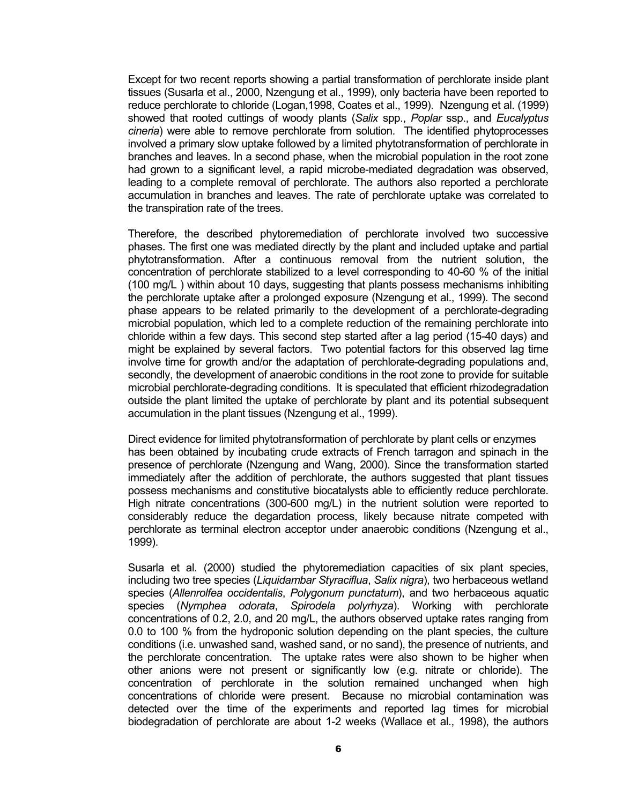Except for two recent reports showing a partial transformation of perchlorate inside plant tissues (Susarla et al., 2000, Nzengung et al., 1999), only bacteria have been reported to reduce perchlorate to chloride (Logan,1998, Coates et al., 1999). Nzengung et al. (1999) showed that rooted cuttings of woody plants (*Salix* spp., *Poplar* ssp., and *Eucalyptus cineria*) were able to remove perchlorate from solution. The identified phytoprocesses involved a primary slow uptake followed by a limited phytotransformation of perchlorate in branches and leaves. In a second phase, when the microbial population in the root zone had grown to a significant level, a rapid microbe-mediated degradation was observed, leading to a complete removal of perchlorate. The authors also reported a perchlorate accumulation in branches and leaves. The rate of perchlorate uptake was correlated to the transpiration rate of the trees.

Therefore, the described phytoremediation of perchlorate involved two successive phases. The first one was mediated directly by the plant and included uptake and partial phytotransformation. After a continuous removal from the nutrient solution, the concentration of perchlorate stabilized to a level corresponding to 40-60 % of the initial (100 mg/L ) within about 10 days, suggesting that plants possess mechanisms inhibiting the perchlorate uptake after a prolonged exposure (Nzengung et al., 1999). The second phase appears to be related primarily to the development of a perchlorate-degrading microbial population, which led to a complete reduction of the remaining perchlorate into chloride within a few days. This second step started after a lag period (15-40 days) and might be explained by several factors. Two potential factors for this observed lag time involve time for growth and/or the adaptation of perchlorate-degrading populations and, secondly, the development of anaerobic conditions in the root zone to provide for suitable microbial perchlorate-degrading conditions. It is speculated that efficient rhizodegradation outside the plant limited the uptake of perchlorate by plant and its potential subsequent accumulation in the plant tissues (Nzengung et al., 1999).

Direct evidence for limited phytotransformation of perchlorate by plant cells or enzymes has been obtained by incubating crude extracts of French tarragon and spinach in the presence of perchlorate (Nzengung and Wang, 2000). Since the transformation started immediately after the addition of perchlorate, the authors suggested that plant tissues possess mechanisms and constitutive biocatalysts able to efficiently reduce perchlorate. High nitrate concentrations (300-600 mg/L) in the nutrient solution were reported to considerably reduce the degardation process, likely because nitrate competed with perchlorate as terminal electron acceptor under anaerobic conditions (Nzengung et al., 1999).

Susarla et al. (2000) studied the phytoremediation capacities of six plant species, including two tree species (*Liquidambar Styraciflua*, *Salix nigra*), two herbaceous wetland species (*Allenrolfea occidentalis*, *Polygonum punctatum*), and two herbaceous aquatic species (*Nymphea odorata*, *Spirodela polyrhyza*). Working with perchlorate concentrations of 0.2, 2.0, and 20 mg/L, the authors observed uptake rates ranging from 0.0 to 100 % from the hydroponic solution depending on the plant species, the culture conditions (i.e. unwashed sand, washed sand, or no sand), the presence of nutrients, and the perchlorate concentration. The uptake rates were also shown to be higher when other anions were not present or significantly low (e.g. nitrate or chloride). The concentration of perchlorate in the solution remained unchanged when high concentrations of chloride were present. Because no microbial contamination was detected over the time of the experiments and reported lag times for microbial biodegradation of perchlorate are about 1-2 weeks (Wallace et al., 1998), the authors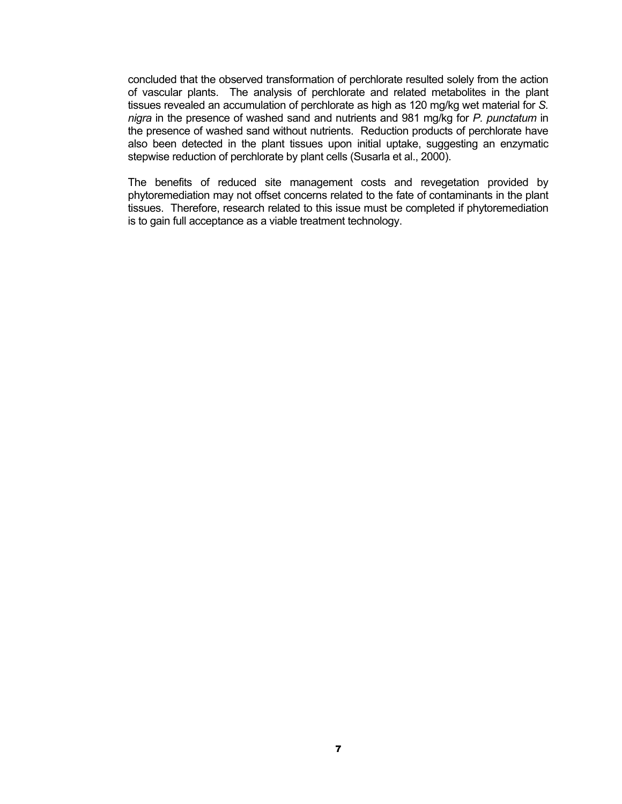concluded that the observed transformation of perchlorate resulted solely from the action of vascular plants. The analysis of perchlorate and related metabolites in the plant tissues revealed an accumulation of perchlorate as high as 120 mg/kg wet material for *S. nigra* in the presence of washed sand and nutrients and 981 mg/kg for *P. punctatum* in the presence of washed sand without nutrients. Reduction products of perchlorate have also been detected in the plant tissues upon initial uptake, suggesting an enzymatic stepwise reduction of perchlorate by plant cells (Susarla et al., 2000).

The benefits of reduced site management costs and revegetation provided by phytoremediation may not offset concerns related to the fate of contaminants in the plant tissues. Therefore, research related to this issue must be completed if phytoremediation is to gain full acceptance as a viable treatment technology.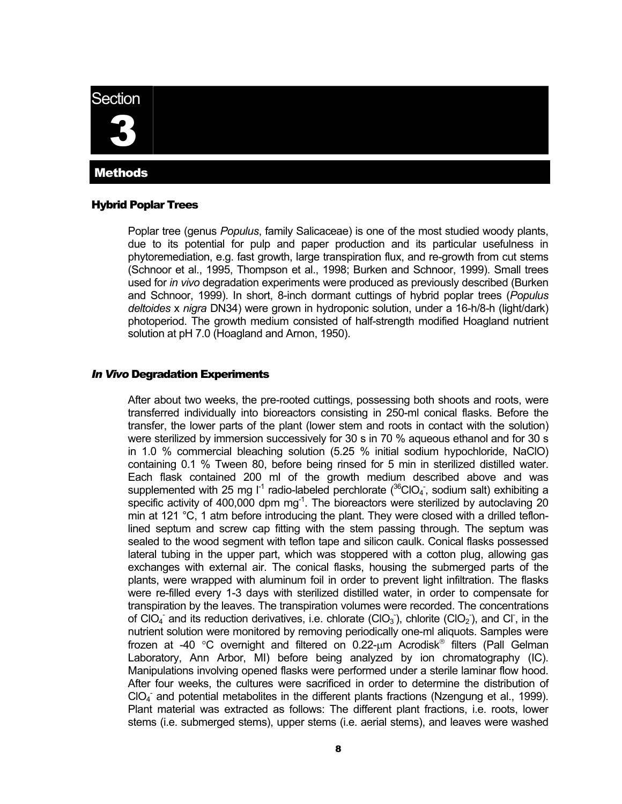# <span id="page-9-0"></span>**Section** 3 Methods

#### Hybrid Poplar Trees

Poplar tree (genus *Populus*, family Salicaceae) is one of the most studied woody plants, due to its potential for pulp and paper production and its particular usefulness in phytoremediation, e.g. fast growth, large transpiration flux, and re-growth from cut stems (Schnoor et al., 1995, Thompson et al., 1998; Burken and Schnoor, 1999). Small trees used for *in vivo* degradation experiments were produced as previously described (Burken and Schnoor, 1999). In short, 8-inch dormant cuttings of hybrid poplar trees (*Populus deltoides* x *nigra* DN34) were grown in hydroponic solution, under a 16-h/8-h (light/dark) photoperiod. The growth medium consisted of half-strength modified Hoagland nutrient solution at pH 7.0 (Hoagland and Arnon, 1950).

#### *In Vivo* Degradation Experiments

After about two weeks, the pre-rooted cuttings, possessing both shoots and roots, were transferred individually into bioreactors consisting in 250-ml conical flasks. Before the transfer, the lower parts of the plant (lower stem and roots in contact with the solution) were sterilized by immersion successively for 30 s in 70 % aqueous ethanol and for 30 s in 1.0 % commercial bleaching solution (5.25 % initial sodium hypochloride, NaClO) containing 0.1 % Tween 80, before being rinsed for 5 min in sterilized distilled water. Each flask contained 200 ml of the growth medium described above and was supplemented with 25 mg  $I^1$  radio-labeled perchlorate ( ${}^{36}$ CIO<sub>4</sub>, sodium salt) exhibiting a specific activity of 400,000 dpm  $mg<sup>-1</sup>$ . The bioreactors were sterilized by autoclaving 20 min at 121 °C, 1 atm before introducing the plant. They were closed with a drilled teflonlined septum and screw cap fitting with the stem passing through. The septum was sealed to the wood segment with teflon tape and silicon caulk. Conical flasks possessed lateral tubing in the upper part, which was stoppered with a cotton plug, allowing gas exchanges with external air. The conical flasks, housing the submerged parts of the plants, were wrapped with aluminum foil in order to prevent light infiltration. The flasks were re-filled every 1-3 days with sterilized distilled water, in order to compensate for transpiration by the leaves. The transpiration volumes were recorded. The concentrations of CIO<sub>4</sub> and its reduction derivatives, i.e. chlorate (CIO<sub>3</sub>), chlorite (CIO<sub>2</sub>), and CI, in the nutrient solution were monitored by removing periodically one-ml aliquots. Samples were frozen at -40 °C overnight and filtered on 0.22-um Acrodisk $^{\circ}$  filters (Pall Gelman Laboratory, Ann Arbor, MI) before being analyzed by ion chromatography (IC). Manipulations involving opened flasks were performed under a sterile laminar flow hood. After four weeks, the cultures were sacrificed in order to determine the distribution of CIO<sub>4</sub> and potential metabolites in the different plants fractions (Nzengung et al., 1999). Plant material was extracted as follows: The different plant fractions, i.e. roots, lower stems (i.e. submerged stems), upper stems (i.e. aerial stems), and leaves were washed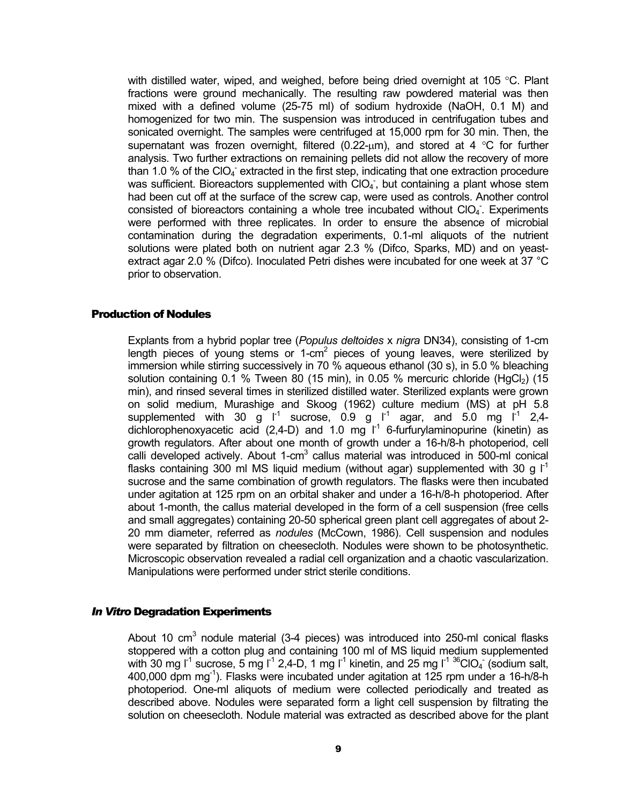<span id="page-10-0"></span>with distilled water, wiped, and weighed, before being dried overnight at 105 °C. Plant fractions were ground mechanically. The resulting raw powdered material was then mixed with a defined volume (25-75 ml) of sodium hydroxide (NaOH, 0.1 M) and homogenized for two min. The suspension was introduced in centrifugation tubes and sonicated overnight. The samples were centrifuged at 15,000 rpm for 30 min. Then, the supernatant was frozen overnight, filtered (0.22- $\mu$ m), and stored at 4 °C for further analysis. Two further extractions on remaining pellets did not allow the recovery of more than 1.0 % of the CIO<sub>4</sub> extracted in the first step, indicating that one extraction procedure was sufficient. Bioreactors supplemented with  $ClO<sub>4</sub>$ , but containing a plant whose stem had been cut off at the surface of the screw cap, were used as controls. Another control consisted of bioreactors containing a whole tree incubated without CIO<sub>4</sub>. Experiments were performed with three replicates. In order to ensure the absence of microbial contamination during the degradation experiments, 0.1-ml aliquots of the nutrient solutions were plated both on nutrient agar 2.3 % (Difco, Sparks, MD) and on yeastextract agar 2.0 % (Difco). Inoculated Petri dishes were incubated for one week at 37 °C prior to observation.

#### Production of Nodules

Explants from a hybrid poplar tree (*Populus deltoides* x *nigra* DN34), consisting of 1-cm length pieces of young stems or 1-cm<sup>2</sup> pieces of young leaves, were sterilized by immersion while stirring successively in 70 % aqueous ethanol (30 s), in 5.0 % bleaching solution containing 0.1 % Tween 80 (15 min), in 0.05 % mercuric chloride (HgCl<sub>2</sub>) (15 min), and rinsed several times in sterilized distilled water. Sterilized explants were grown on solid medium, Murashige and Skoog (1962) culture medium (MS) at pH 5.8 supplemented with 30 g  $I^1$  sucrose, 0.9 g  $I^1$  agar, and 5.0 mg  $I^1$  2,4dichlorophenoxyacetic acid (2,4-D) and 1.0 mg  $I^1$  6-furfurylaminopurine (kinetin) as growth regulators. After about one month of growth under a 16-h/8-h photoperiod, cell calli developed actively. About 1- $cm<sup>3</sup>$  callus material was introduced in 500-ml conical flasks containing 300 ml MS liquid medium (without agar) supplemented with 30 g  $I^1$ sucrose and the same combination of growth regulators. The flasks were then incubated under agitation at 125 rpm on an orbital shaker and under a 16-h/8-h photoperiod. After about 1-month, the callus material developed in the form of a cell suspension (free cells and small aggregates) containing 20-50 spherical green plant cell aggregates of about 2- 20 mm diameter, referred as *nodules* (McCown, 1986). Cell suspension and nodules were separated by filtration on cheesecloth. Nodules were shown to be photosynthetic. Microscopic observation revealed a radial cell organization and a chaotic vascularization. Manipulations were performed under strict sterile conditions.

#### *In Vitro* Degradation Experiments

About 10 cm<sup>3</sup> nodule material (3-4 pieces) was introduced into 250-ml conical flasks stoppered with a cotton plug and containing 100 ml of MS liquid medium supplemented with 30 mg  $I^1$  sucrose, 5 mg  $I^1$  2,4-D, 1 mg  $I^1$  kinetin, and 25 mg  $I^1$  <sup>36</sup>ClO<sub>4</sub> (sodium salt, 400,000 dpm mg $^{-1}$ ). Flasks were incubated under agitation at 125 rpm under a 16-h/8-h photoperiod. One-ml aliquots of medium were collected periodically and treated as described above. Nodules were separated form a light cell suspension by filtrating the solution on cheesecloth. Nodule material was extracted as described above for the plant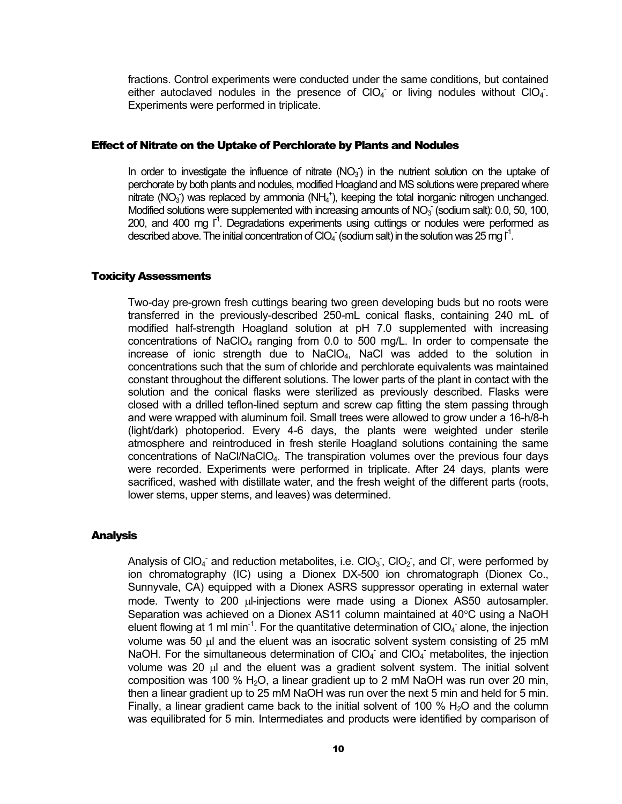<span id="page-11-0"></span>fractions. Control experiments were conducted under the same conditions, but contained either autoclaved nodules in the presence of  $ClO<sub>4</sub>$  or living nodules without  $ClO<sub>4</sub>$ . Experiments were performed in triplicate.

#### Effect of Nitrate on the Uptake of Perchlorate by Plants and Nodules

In order to investigate the influence of nitrate  $(NO<sub>3</sub>)$  in the nutrient solution on the uptake of perchorate by both plants and nodules, modified Hoagland and MS solutions were prepared where nitrate (NO<sub>3</sub>) was replaced by ammonia (NH<sub>4</sub><sup>+</sup>), keeping the total inorganic nitrogen unchanged. Modified solutions were supplemented with increasing amounts of  $NO<sub>3</sub>$  (sodium salt): 0.0, 50, 100, 200, and 400 mg  $I^1$ . Degradations experiments using cuttings or nodules were performed as described above. The initial concentration of CIO<sub>4</sub> (sodium salt) in the solution was 25 mg  $I^1$ .

#### Toxicity Assessments

Two-day pre-grown fresh cuttings bearing two green developing buds but no roots were transferred in the previously-described 250-mL conical flasks, containing 240 mL of modified half-strength Hoagland solution at pH 7.0 supplemented with increasing concentrations of NaClO<sub>4</sub> ranging from 0.0 to 500 mg/L. In order to compensate the increase of ionic strength due to NaClO4, NaCl was added to the solution in concentrations such that the sum of chloride and perchlorate equivalents was maintained constant throughout the different solutions. The lower parts of the plant in contact with the solution and the conical flasks were sterilized as previously described. Flasks were closed with a drilled teflon-lined septum and screw cap fitting the stem passing through and were wrapped with aluminum foil. Small trees were allowed to grow under a 16-h/8-h (light/dark) photoperiod. Every 4-6 days, the plants were weighted under sterile atmosphere and reintroduced in fresh sterile Hoagland solutions containing the same concentrations of NaCl/NaClO4. The transpiration volumes over the previous four days were recorded. Experiments were performed in triplicate. After 24 days, plants were sacrificed, washed with distillate water, and the fresh weight of the different parts (roots, lower stems, upper stems, and leaves) was determined.

#### Analysis

Analysis of CIO<sub>4</sub><sup>-</sup> and reduction metabolites, i.e. CIO<sub>3</sub><sup>-</sup>, CIO<sub>2</sub><sup>-</sup>, and CI<sup>-</sup>, were performed by ion chromatography (IC) using a Dionex DX-500 ion chromatograph (Dionex Co., Sunnyvale, CA) equipped with a Dionex ASRS suppressor operating in external water mode. Twenty to 200 µl-injections were made using a Dionex AS50 autosampler. Separation was achieved on a Dionex AS11 column maintained at 40°C using a NaOH eluent flowing at 1 ml min<sup>-1</sup>. For the quantitative determination of ClO<sub>4</sub> alone, the injection volume was 50  $\mu$  and the eluent was an isocratic solvent system consisting of 25 mM NaOH. For the simultaneous determination of  $CIO<sub>4</sub>$  and  $ClO<sub>4</sub>$  metabolites, the injection volume was 20 µl and the eluent was a gradient solvent system. The initial solvent composition was 100 %  $H<sub>2</sub>O$ , a linear gradient up to 2 mM NaOH was run over 20 min, then a linear gradient up to 25 mM NaOH was run over the next 5 min and held for 5 min. Finally, a linear gradient came back to the initial solvent of 100  $%$  H<sub>2</sub>O and the column was equilibrated for 5 min. Intermediates and products were identified by comparison of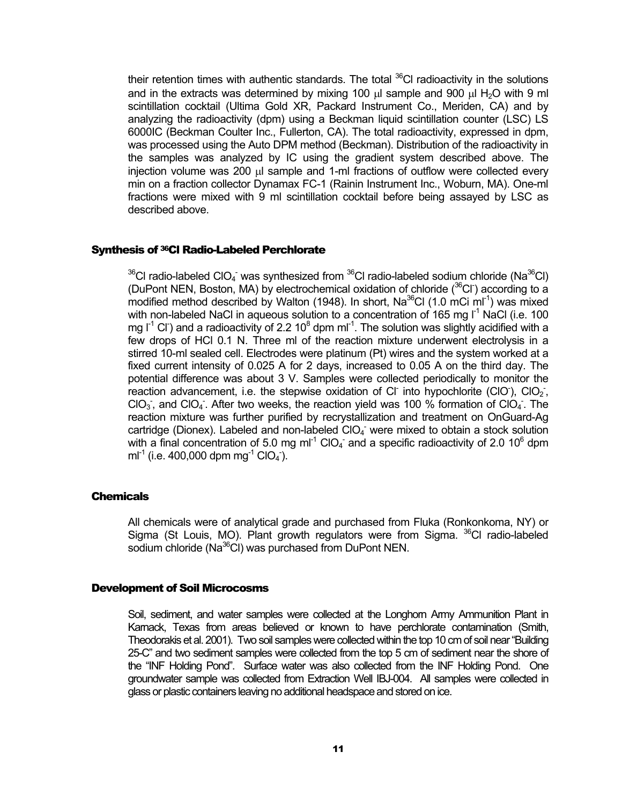<span id="page-12-0"></span>their retention times with authentic standards. The total  $^{36}$ CI radioactivity in the solutions and in the extracts was determined by mixing 100  $\mu$  sample and 900  $\mu$  H<sub>2</sub>O with 9 ml scintillation cocktail (Ultima Gold XR, Packard Instrument Co., Meriden, CA) and by analyzing the radioactivity (dpm) using a Beckman liquid scintillation counter (LSC) LS 6000IC (Beckman Coulter Inc., Fullerton, CA). The total radioactivity, expressed in dpm, was processed using the Auto DPM method (Beckman). Distribution of the radioactivity in the samples was analyzed by IC using the gradient system described above. The injection volume was 200 µl sample and 1-ml fractions of outflow were collected every min on a fraction collector Dynamax FC-1 (Rainin Instrument Inc., Woburn, MA). One-ml fractions were mixed with 9 ml scintillation cocktail before being assayed by LSC as described above.

#### Synthesis of 36Cl Radio-Labeled Perchlorate

 $^{36}$ Cl radio-labeled ClO<sub>4</sub> was synthesized from  $^{36}$ Cl radio-labeled sodium chloride (Na $^{36}$ Cl) (DuPont NEN, Boston, MA) by electrochemical oxidation of chloride  $(^{36}Cl^-)$  according to a modified method described by Walton (1948). In short, Na<sup>36</sup>Cl (1.0 mCi ml<sup>-1</sup>) was mixed with non-labeled NaCl in aqueous solution to a concentration of 165 mg  $I^1$  NaCl (i.e. 100 mg  $I^1$  Cl<sup>-</sup>) and a radioactivity of 2.2 10<sup>8</sup> dpm ml<sup>-1</sup>. The solution was slightly acidified with a few drops of HCl 0.1 N. Three ml of the reaction mixture underwent electrolysis in a stirred 10-ml sealed cell. Electrodes were platinum (Pt) wires and the system worked at a fixed current intensity of 0.025 A for 2 days, increased to 0.05 A on the third day. The potential difference was about 3 V. Samples were collected periodically to monitor the reaction advancement, i.e. the stepwise oxidation of CI into hypochlorite (CIO),  $ClO<sub>2</sub>$ , CIO<sub>3</sub>, and CIO<sub>4</sub>. After two weeks, the reaction yield was 100 % formation of CIO<sub>4</sub>. The reaction mixture was further purified by recrystallization and treatment on OnGuard-Ag cartridge (Dionex). Labeled and non-labeled CIO<sub>4</sub> were mixed to obtain a stock solution with a final concentration of 5.0 mg ml<sup>-1</sup> CIO<sub>4</sub> and a specific radioactivity of 2.0 10<sup>6</sup> dpm ml<sup>-1</sup> (i.e. 400,000 dpm mg<sup>-1</sup> ClO<sub>4</sub><sup>-</sup>).

#### **Chemicals**

All chemicals were of analytical grade and purchased from Fluka (Ronkonkoma, NY) or Sigma (St Louis, MO). Plant growth regulators were from Sigma. <sup>36</sup>Cl radio-labeled sodium chloride (Na<sup>36</sup>CI) was purchased from DuPont NEN.

#### Development of Soil Microcosms

Soil, sediment, and water samples were collected at the Longhom Army Ammunition Plant in Karnack, Texas from areas believed or known to have perchlorate contamination (Smith, Theodorakis et al. 2001). Two soil samples were collected within the top 10 cm of soil near "Building 25-C" and two sediment samples were collected from the top 5 cm of sediment near the shore of the "INF Holding Pond". Surface water was also collected from the INF Holding Pond. One groundwater sample was collected from Extraction Well IBJ-004. All samples were collected in glass or plastic containers leaving no additional headspace and stored on ice.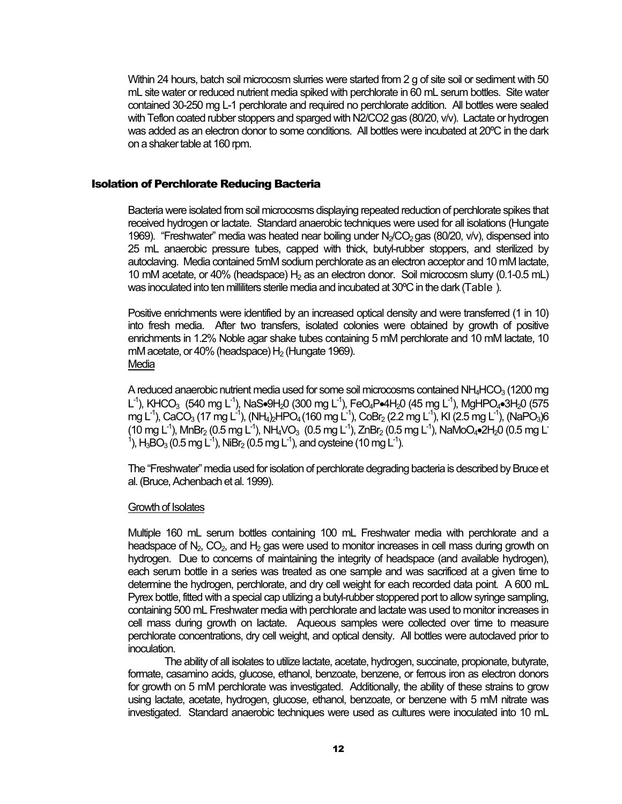<span id="page-13-0"></span>Within 24 hours, batch soil microcosm slurries were started from 2 g of site soil or sediment with 50 mL site water or reduced nutrient media spiked with perchlorate in 60 mL serum bottles. Site water contained 30-250 mg L-1 perchlorate and required no perchlorate addition. All bottles were sealed with Teflon coated rubber stoppers and sparged with N2/CO2 gas (80/20, v/v). Lactate or hydrogen was added as an electron donor to some conditions. All bottles were incubated at 20ºC in the dark on a shaker table at 160 rpm.

#### Isolation of Perchlorate Reducing Bacteria

Bacteria were isolated from soil microcosms displaying repeated reduction of perchlorate spikes that received hydrogen or lactate. Standard anaerobic techniques were used for all isolations (Hungate 1969). "Freshwater" media was heated near boiling under N<sub>2</sub>/CO<sub>2</sub> gas (80/20, v/v), dispensed into 25 mL anaerobic pressure tubes, capped with thick, butyl-rubber stoppers, and sterilized by autoclaving. Media contained 5mM sodium perchlorate as an electron acceptor and 10 mM lactate, 10 mM acetate, or 40% (headspace)  $H_2$  as an electron donor. Soil microcosm slurry (0.1-0.5 mL) was inoculated into ten milliliters sterile media and incubated at 30ºC in the dark [\(Table \)](#page-29-1).

Positive enrichments were identified by an increased optical density and were transferred (1 in 10) into fresh media. After two transfers, isolated colonies were obtained by growth of positive enrichments in 1.2% Noble agar shake tubes containing 5 mM perchlorate and 10 mM lactate, 10 mM acetate, or 40% (headspace)  $H_2$  (Hungate 1969). Media

A reduced anaerobic nutrient media used for some soil microcosms contained NH $_4$ HCO $_3$  (1200 mg) L<sup>-1</sup>), KHCO<sub>3</sub> (540 mg L<sup>-1</sup>), NaS•9H<sub>2</sub>0 (300 mg L<sup>-1</sup>), FeO<sub>4</sub>P•4H<sub>2</sub>0 (45 mg L<sup>-1</sup>), MgHPO<sub>4</sub>•3H<sub>2</sub>0 (575 mg L<sup>-1</sup>), CaCO<sub>3</sub> (17 mg L<sup>-1</sup>), (NH<sub>4</sub>)<sub>2</sub>HPO<sub>4</sub> (160 mg L<sup>-1</sup>), CoBr<sub>2</sub> (2.2 mg L<sup>-1</sup>), KI (2.5 mg L<sup>-1</sup>), (NaPO<sub>3</sub>)6  $(10 \text{ mg L}^1)$ , MnBr<sub>2</sub>  $(0.5 \text{ mg L}^1)$ , NH<sub>4</sub>VO<sub>3</sub>  $(0.5 \text{ mg L}^1)$ , ZnBr<sub>2</sub>  $(0.5 \text{ mg L}^1)$ , NaMoO<sub>4</sub>•2H<sub>2</sub>0  $(0.5 \text{ mg L}^1)$ <sup>1</sup>), H<sub>3</sub>BO<sub>3</sub> (0.5 mg L<sup>-1</sup>), NiBr<sub>2</sub> (0.5 mg L<sup>-1</sup>), and cysteine (10 mg L<sup>-1</sup>).

The "Freshwater" media used for isolation of perchlorate degrading bacteria is described by Bruce et al. (Bruce, Achenbach et al. 1999).

#### Growth of Isolates

Multiple 160 mL serum bottles containing 100 mL Freshwater media with perchlorate and a headspace of  $N_2$ ,  $CO_2$ , and  $H_2$  gas were used to monitor increases in cell mass during growth on hydrogen. Due to concerns of maintaining the integrity of headspace (and available hydrogen), each serum bottle in a series was treated as one sample and was sacrificed at a given time to determine the hydrogen, perchlorate, and dry cell weight for each recorded data point. A 600 mL Pyrex bottle, fitted with a special cap utilizing a butyl-rubber stoppered port to allow syringe sampling, containing 500 mL Freshwater media with perchlorate and lactate was used to monitor increases in cell mass during growth on lactate. Aqueous samples were collected over time to measure perchlorate concentrations, dry cell weight, and optical density. All bottles were autoclaved prior to inoculation.

The ability of all isolates to utilize lactate, acetate, hydrogen, succinate, propionate, butyrate, formate, casamino acids, glucose, ethanol, benzoate, benzene, or ferrous iron as electron donors for growth on 5 mM perchlorate was investigated. Additionally, the ability of these strains to grow using lactate, acetate, hydrogen, glucose, ethanol, benzoate, or benzene with 5 mM nitrate was investigated. Standard anaerobic techniques were used as cultures were inoculated into 10 mL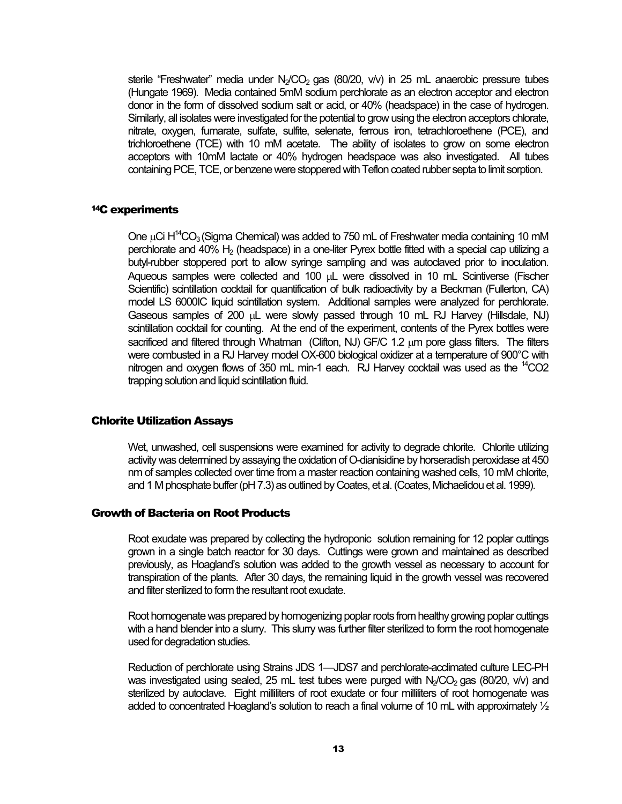<span id="page-14-0"></span>sterile "Freshwater" media under  $N_{2}/CO_{2}$  gas (80/20, v/v) in 25 mL anaerobic pressure tubes (Hungate 1969). Media contained 5mM sodium perchlorate as an electron acceptor and electron donor in the form of dissolved sodium salt or acid, or 40% (headspace) in the case of hydrogen. Similarly, all isolates were investigated for the potential to grow using the electron acceptors chlorate. nitrate, oxygen, fumarate, sulfate, sulfite, selenate, ferrous iron, tetrachloroethene (PCE), and trichloroethene (TCE) with 10 mM acetate. The ability of isolates to grow on some electron acceptors with 10mM lactate or 40% hydrogen headspace was also investigated. All tubes containing PCE, TCE, or benzene were stoppered with Teflon coated rubber septa to limit sorption.

#### 14C experiments

One  $\mu$ Ci H<sup>14</sup>CO<sub>3</sub> (Sigma Chemical) was added to 750 mL of Freshwater media containing 10 mM perchlorate and 40%  $H_2$  (headspace) in a one-liter Pyrex bottle fitted with a special cap utilizing a butyl-rubber stoppered port to allow syringe sampling and was autoclaved prior to inoculation. Aqueous samples were collected and 100 µL were dissolved in 10 mL Scintiverse (Fischer Scientific) scintillation cocktail for quantification of bulk radioactivity by a Beckman (Fullerton, CA) model LS 6000IC liquid scintillation system. Additional samples were analyzed for perchlorate. Gaseous samples of 200 µL were slowly passed through 10 mL RJ Harvey (Hillsdale, NJ) scintillation cocktail for counting. At the end of the experiment, contents of the Pyrex bottles were sacrificed and filtered through Whatman (Clifton, NJ) GF/C 1.2 um pore glass filters. The filters were combusted in a RJ Harvey model OX-600 biological oxidizer at a temperature of 900°C with nitrogen and oxygen flows of 350 mL min-1 each. RJ Harvey cocktail was used as the <sup>14</sup>CO2 trapping solution and liquid scintillation fluid.

#### Chlorite Utilization Assays

Wet, unwashed, cell suspensions were examined for activity to degrade chlorite. Chlorite utilizing activity was determined by assaying the oxidation of O-dianisidine by horseradish peroxidase at 450 nm of samples collected over time from a master reaction containing washed cells, 10 mM chlorite, and 1 M phosphate buffer (pH 7.3) as outlined by Coates, et al. (Coates, Michaelidou et al. 1999).

#### Growth of Bacteria on Root Products

Root exudate was prepared by collecting the hydroponic solution remaining for 12 poplar cuttings grown in a single batch reactor for 30 days. Cuttings were grown and maintained as described previously, as Hoagland's solution was added to the growth vessel as necessary to account for transpiration of the plants. After 30 days, the remaining liquid in the growth vessel was recovered and filter sterilized to form the resultant root exudate.

Root homogenate was prepared by homogenizing poplar roots from healthy growing poplar cuttings with a hand blender into a slurry. This slurry was further filter sterilized to form the root homogenate used for degradation studies.

Reduction of perchlorate using Strains JDS 1—JDS7 and perchlorate-acclimated culture LEC-PH was investigated using sealed, 25 mL test tubes were purged with  $N_2$ CO<sub>2</sub> gas (80/20, v/v) and sterilized by autoclave. Eight milliliters of root exudate or four milliliters of root homogenate was added to concentrated Hoagland's solution to reach a final volume of 10 mL with approximately  $\frac{1}{2}$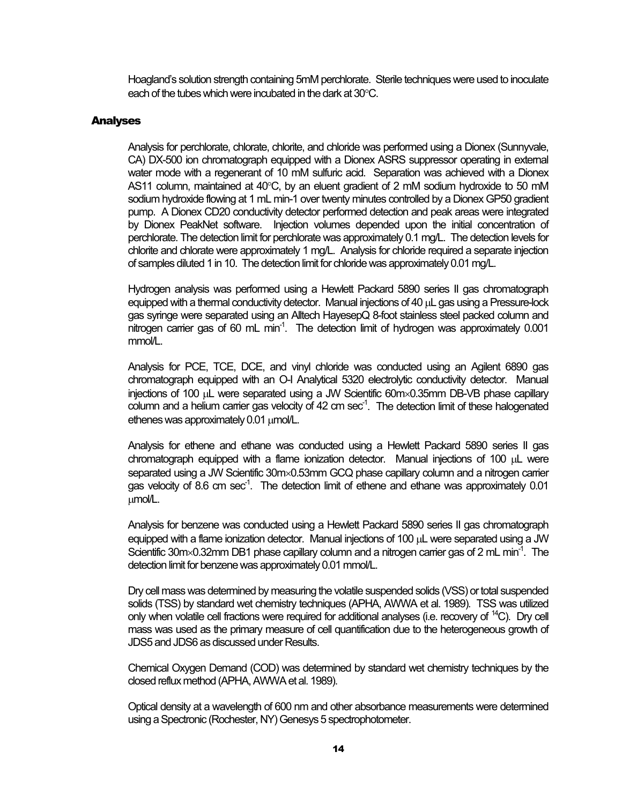Hoagland's solution strength containing 5mM perchlorate. Sterile techniques were used to inoculate each of the tubes which were incubated in the dark at 30°C.

#### <span id="page-15-0"></span>Analyses

Analysis for perchlorate, chlorate, chlorite, and chloride was performed using a Dionex (Sunnyvale, CA) DX-500 ion chromatograph equipped with a Dionex ASRS suppressor operating in external water mode with a regenerant of 10 mM sulfuric acid. Separation was achieved with a Dionex AS11 column, maintained at 40°C, by an eluent gradient of 2 mM sodium hydroxide to 50 mM sodium hydroxide flowing at 1 mL min-1 over twenty minutes controlled by a Dionex GP50 gradient pump. A Dionex CD20 conductivity detector performed detection and peak areas were integrated by Dionex PeakNet software. Injection volumes depended upon the initial concentration of perchlorate. The detection limit for perchlorate was approximately 0.1 mg/L. The detection levels for chlorite and chlorate were approximately 1 mg/L. Analysis for chloride required a separate injection of samples diluted 1 in 10. The detection limit for chloride was approximately 0.01 mg/L.

Hydrogen analysis was performed using a Hewlett Packard 5890 series II gas chromatograph equipped with a thermal conductivity detector. Manual injections of 40 µL gas using a Pressure-lock gas syringe were separated using an Alltech HayesepQ 8-foot stainless steel packed column and nitrogen carrier gas of 60 mL min<sup>-1</sup>. The detection limit of hydrogen was approximately  $0.001$ mmol/L.

Analysis for PCE, TCE, DCE, and vinyl chloride was conducted using an Agilent 6890 gas chromatograph equipped with an O-I Analytical 5320 electrolytic conductivity detector. Manual injections of 100 µL were separated using a JW Scientific 60m×0.35mm DB-VB phase capillary column and a helium carrier gas velocity of 42 cm sec<sup>-1</sup>. The detection limit of these halogenated ethenes was approximately 0.01 µmol/L.

Analysis for ethene and ethane was conducted using a Hewlett Packard 5890 series II gas chromatograph equipped with a flame ionization detector. Manual injections of 100 µL were separated using a JW Scientific 30m×0.53mm GCQ phase capillary column and a nitrogen carrier gas velocity of 8.6 cm sec<sup>-1</sup>. The detection limit of ethene and ethane was approximately 0.01 µmol/L.

Analysis for benzene was conducted using a Hewlett Packard 5890 series II gas chromatograph equipped with a flame ionization detector. Manual injections of 100 µL were separated using a JW Scientific 30m×0.32mm DB1 phase capillary column and a nitrogen carrier gas of 2 mL min<sup>-1</sup>. The detection limit for benzene was approximately 0.01 mmol/L.

Dry cell mass was determined by measuring the volatile suspended solids (VSS) or total suspended solids (TSS) by standard wet chemistry techniques (APHA, AWWA et al. 1989). TSS was utilized only when volatile cell fractions were required for additional analyses (i.e. recovery of <sup>14</sup>C). Dry cell mass was used as the primary measure of cell quantification due to the heterogeneous growth of JDS5 and JDS6 as discussed under Results.

Chemical Oxygen Demand (COD) was determined by standard wet chemistry techniques by the closed reflux method (APHA, AWWA et al. 1989).

Optical density at a wavelength of 600 nm and other absorbance measurements were determined using a Spectronic (Rochester, NY) Genesys 5 spectrophotometer.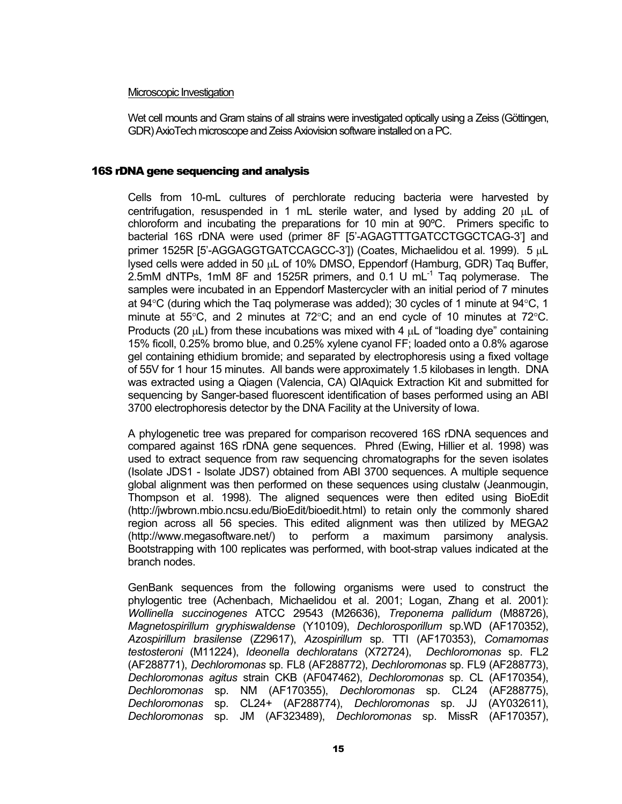#### <span id="page-16-0"></span>Microscopic Investigation

Wet cell mounts and Gram stains of all strains were investigated optically using a Zeiss (Göttingen, GDR) AxioTech microscope and Zeiss Axiovision software installed on a PC.

#### 16S rDNA gene sequencing and analysis

Cells from 10-mL cultures of perchlorate reducing bacteria were harvested by centrifugation, resuspended in 1 mL sterile water, and lysed by adding 20 µL of chloroform and incubating the preparations for 10 min at 90ºC. Primers specific to bacterial 16S rDNA were used (primer 8F [5'-AGAGTTTGATCCTGGCTCAG-3'] and primer 1525R [5'-AGGAGGTGATCCAGCC-3']) (Coates, Michaelidou et al. 1999). 5 µL lysed cells were added in 50 µL of 10% DMSO, Eppendorf (Hamburg, GDR) Taq Buffer, 2.5mM dNTPs, 1mM 8F and 1525R primers, and 0.1 U mL $^{-1}$  Tag polymerase. The samples were incubated in an Eppendorf Mastercycler with an initial period of 7 minutes at 94 $\degree$ C (during which the Taq polymerase was added); 30 cycles of 1 minute at 94 $\degree$ C, 1 minute at 55°C, and 2 minutes at 72°C; and an end cycle of 10 minutes at 72°C. Products (20  $\mu$ L) from these incubations was mixed with 4  $\mu$ L of "loading dye" containing 15% ficoll, 0.25% bromo blue, and 0.25% xylene cyanol FF; loaded onto a 0.8% agarose gel containing ethidium bromide; and separated by electrophoresis using a fixed voltage of 55V for 1 hour 15 minutes. All bands were approximately 1.5 kilobases in length. DNA was extracted using a Qiagen (Valencia, CA) QIAquick Extraction Kit and submitted for sequencing by Sanger-based fluorescent identification of bases performed using an ABI 3700 electrophoresis detector by the DNA Facility at the University of Iowa.

A phylogenetic tree was prepared for comparison recovered 16S rDNA sequences and compared against 16S rDNA gene sequences. Phred (Ewing, Hillier et al. 1998) was used to extract sequence from raw sequencing chromatographs for the seven isolates (Isolate JDS1 - Isolate JDS7) obtained from ABI 3700 sequences. A multiple sequence global alignment was then performed on these sequences using clustalw (Jeanmougin, Thompson et al. 1998). The aligned sequences were then edited using BioEdit (http://jwbrown.mbio.ncsu.edu/BioEdit/bioedit.html) to retain only the commonly shared region across all 56 species. This edited alignment was then utilized by MEGA2 (http://www.megasoftware.net/) to perform a maximum parsimony analysis. Bootstrapping with 100 replicates was performed, with boot-strap values indicated at the branch nodes.

GenBank sequences from the following organisms were used to construct the phylogentic tree (Achenbach, Michaelidou et al. 2001; Logan, Zhang et al. 2001): *Wollinella succinogenes* ATCC 29543 (M26636), *Treponema pallidum* (M88726), *Magnetospirillum gryphiswaldense* (Y10109), *Dechlorosporillum* sp.WD (AF170352), *Azospirillum brasilense* (Z29617), *Azospirillum* sp. TTI (AF170353), *Comamomas testosteroni* (M11224), *Ideonella dechloratans* (X72724), *Dechloromonas* sp. FL2 (AF288771), *Dechloromonas* sp. FL8 (AF288772), *Dechloromonas* sp. FL9 (AF288773), *Dechloromonas agitus* strain CKB (AF047462), *Dechloromonas* sp. CL (AF170354), *Dechloromonas* sp. NM (AF170355), *Dechloromonas* sp. CL24 (AF288775), *Dechloromonas* sp. CL24+ (AF288774), *Dechloromonas* sp. JJ (AY032611), *Dechloromonas* sp. JM (AF323489), *Dechloromonas* sp. MissR (AF170357),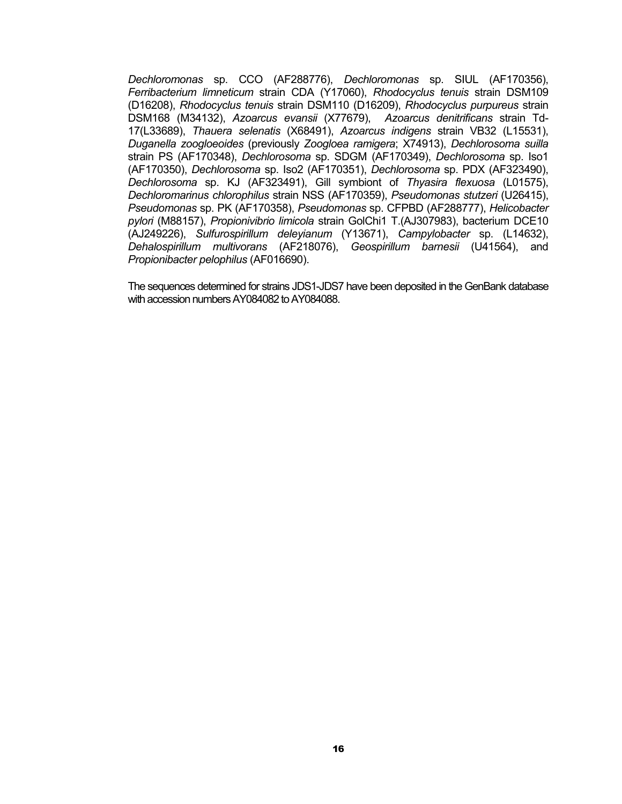*Dechloromonas* sp. CCO (AF288776), *Dechloromonas* sp. SIUL (AF170356), *Ferribacterium limneticum* strain CDA (Y17060), *Rhodocyclus tenuis* strain DSM109 (D16208), *Rhodocyclus tenuis* strain DSM110 (D16209), *Rhodocyclus purpureus* strain DSM168 (M34132), *Azoarcus evansii* (X77679), *Azoarcus denitrificans* strain Td-17(L33689), *Thauera selenatis* (X68491), *Azoarcus indigens* strain VB32 (L15531), *Duganella zoogloeoides* (previously *Zoogloea ramigera*; X74913), *Dechlorosoma suilla* strain PS (AF170348), *Dechlorosoma* sp. SDGM (AF170349), *Dechlorosoma* sp. Iso1 (AF170350), *Dechlorosoma* sp. Iso2 (AF170351), *Dechlorosoma* sp. PDX (AF323490), *Dechlorosoma* sp. KJ (AF323491), Gill symbiont of *Thyasira flexuosa* (L01575), *Dechloromarinus chlorophilus* strain NSS (AF170359), *Pseudomonas stutzeri* (U26415), *Pseudomonas* sp. PK (AF170358), *Pseudomonas* sp. CFPBD (AF288777), *Helicobacter pylori* (M88157), *Propionivibrio limicola* strain GolChi1 T.(AJ307983), bacterium DCE10 (AJ249226), *Sulfurospirillum deleyianum* (Y13671), *Campylobacter* sp. (L14632), *Dehalospirillum multivorans* (AF218076), *Geospirillum barnesii* (U41564), and *Propionibacter pelophilus* (AF016690).

The sequences determined for strains JDS1-JDS7 have been deposited in the GenBank database with accession numbers AY084082 to AY084088.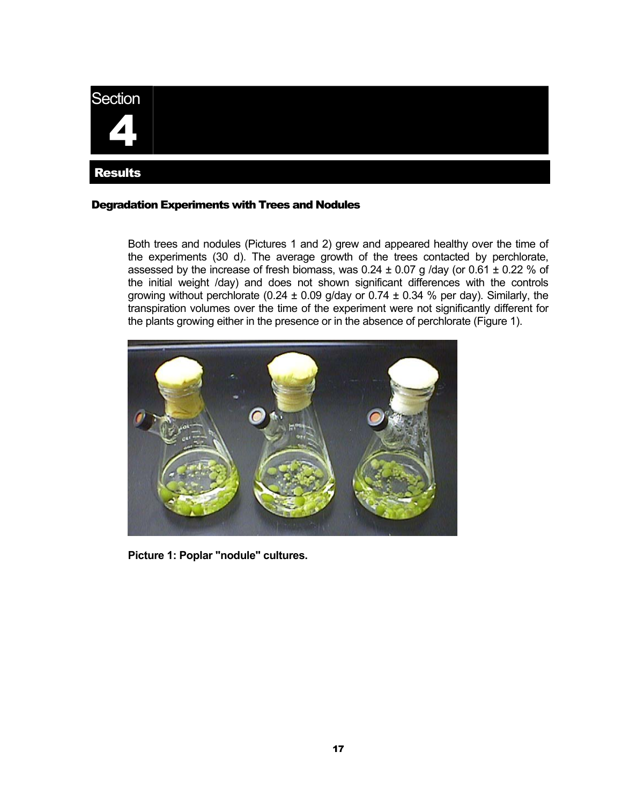<span id="page-18-0"></span>

#### Degradation Experiments with Trees and Nodules

Both trees and nodules (Pictures 1 and 2) grew and appeared healthy over the time of the experiments (30 d). The average growth of the trees contacted by perchlorate, assessed by the increase of fresh biomass, was  $0.24 \pm 0.07$  g /day (or  $0.61 \pm 0.22$  % of the initial weight /day) and does not shown significant differences with the controls growing without perchlorate (0.24  $\pm$  0.09 g/day or 0.74  $\pm$  0.34 % per day). Similarly, the transpiration volumes over the time of the experiment were not significantly different for the plants growing either in the presence or in the absence of perchlorate (Figure 1).



**Picture 1: Poplar "nodule" cultures.**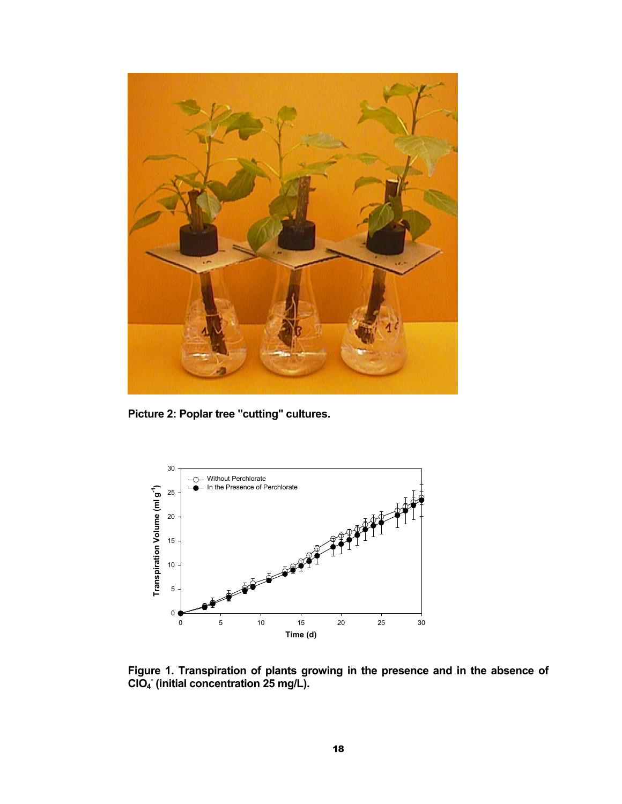

**Picture 2: Poplar tree "cutting" cultures.**



**Figure 1. Transpiration of plants growing in the presence and in the absence of ClO4 - (initial concentration 25 mg/L).**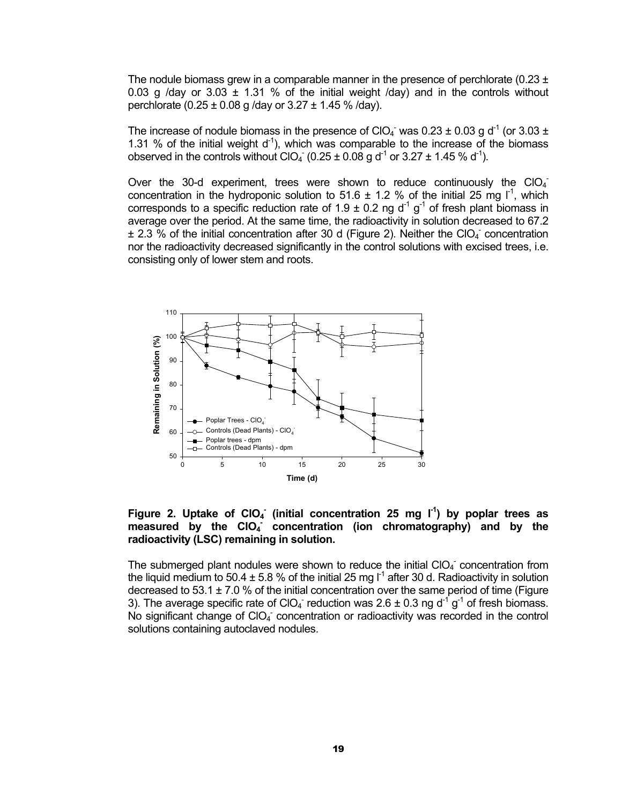The nodule biomass grew in a comparable manner in the presence of perchlorate (0.23  $\pm$ 0.03 g /day or  $3.03 \pm 1.31$  % of the initial weight /day) and in the controls without perchlorate  $(0.25 \pm 0.08 \text{ q /day or } 3.27 \pm 1.45 \% \text{ /day}).$ 

The increase of nodule biomass in the presence of ClO<sub>4</sub><sup>-</sup> was 0.23 ± 0.03 g d<sup>-1</sup> (or 3.03 ± 1.31 % of the initial weight  $d^{-1}$ ), which was comparable to the increase of the biomass observed in the controls without ClO<sub>4</sub> (0.25  $\pm$  0.08 g d<sup>-1</sup> or 3.27  $\pm$  1.45 % d<sup>-1</sup>).

Over the 30-d experiment, trees were shown to reduce continuously the  $ClO<sub>4</sub>$ concentration in the hydroponic solution to 51.6  $\pm$  1.2 % of the initial 25 mg  $I^1$ , which corresponds to a specific reduction rate of 1.9  $\pm$  0.2 ng d<sup>-1</sup> g<sup>-1</sup> of fresh plant biomass in average over the period. At the same time, the radioactivity in solution decreased to 67.2  $\pm$  2.3 % of the initial concentration after 30 d (Figure 2). Neither the CIO<sub>4</sub> concentration nor the radioactivity decreased significantly in the control solutions with excised trees, i.e. consisting only of lower stem and roots.



Figure 2. Uptake of CIO<sub>4</sub> (initial concentration 25 mg l<sup>-1</sup>) by poplar trees as measured by the CIO<sub>4</sub> concentration (ion chromatography) and by the **radioactivity (LSC) remaining in solution.**

The submerged plant nodules were shown to reduce the initial  $ClO<sub>4</sub>$  concentration from the liquid medium to 50.4  $\pm$  5.8 % of the initial 25 mg  $1^1$  after 30 d. Radioactivity in solution decreased to  $53.1 \pm 7.0$  % of the initial concentration over the same period of time (Figure 3). The average specific rate of CIO<sub>4</sub> reduction was 2.6  $\pm$  0.3 ng d<sup>-1</sup> g<sup>-1</sup> of fresh biomass. No significant change of CIO<sub>4</sub> concentration or radioactivity was recorded in the control solutions containing autoclaved nodules.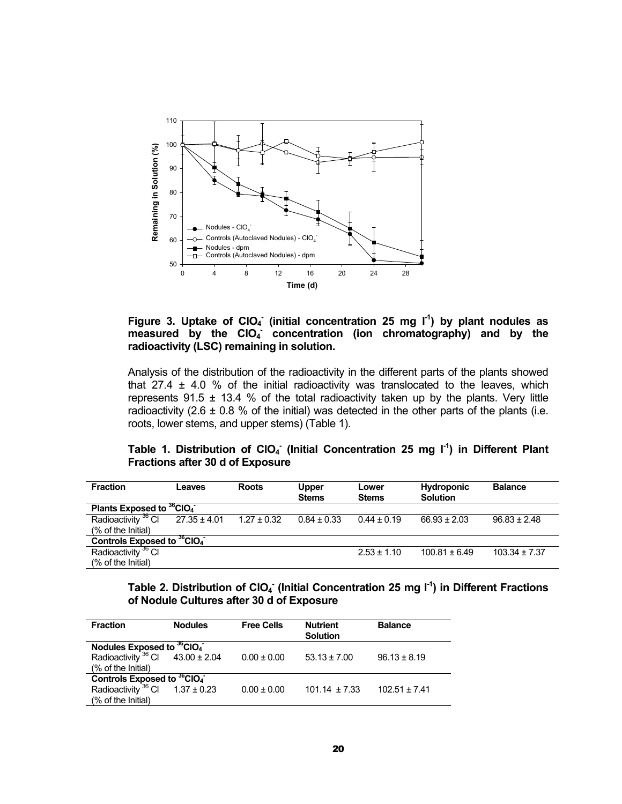

### Figure 3. Uptake of CIO<sub>4</sub><sup>-</sup> (initial concentration 25 mg l<sup>-1</sup>) by plant nodules as measured by the CIO<sub>4</sub> concentration (ion chromatography) and by the **radioactivity (LSC) remaining in solution.**

Analysis of the distribution of the radioactivity in the different parts of the plants showed that 27.4  $\pm$  4.0 % of the initial radioactivity was translocated to the leaves, which represents 91.5  $\pm$  13.4 % of the total radioactivity taken up by the plants. Very little radioactivity (2.6  $\pm$  0.8 % of the initial) was detected in the other parts of the plants (i.e. roots, lower stems, and upper stems) (Table 1).

|                                         |  | Table 1. Distribution of $ClO4$ (Initial Concentration 25 mg $I-1$ ) in Different Plant |  |  |  |
|-----------------------------------------|--|-----------------------------------------------------------------------------------------|--|--|--|
| <b>Fractions after 30 d of Exposure</b> |  |                                                                                         |  |  |  |

| <b>Fraction</b>                                    | Leaves           | <b>Roots</b>    | <b>Upper</b><br><b>Stems</b> | Lower<br><b>Stems</b> | <b>Hydroponic</b><br><b>Solution</b> | <b>Balance</b>    |
|----------------------------------------------------|------------------|-----------------|------------------------------|-----------------------|--------------------------------------|-------------------|
| Plants Exposed to <sup>36</sup> CIO <sub>4</sub>   |                  |                 |                              |                       |                                      |                   |
| Radioactivity <sup>36</sup> Cl                     | $27.35 \pm 4.01$ | $1.27 \pm 0.32$ | $0.84 \pm 0.33$              | $0.44 \pm 0.19$       | $66.93 \pm 2.03$                     | $96.83 \pm 2.48$  |
| (% of the Initial)                                 |                  |                 |                              |                       |                                      |                   |
| Controls Exposed to <sup>36</sup> CIO <sub>4</sub> |                  |                 |                              |                       |                                      |                   |
| Radioactivity <sup>36</sup> CI                     |                  |                 |                              | $2.53 \pm 1.10$       | $100.81 \pm 6.49$                    | $103.34 \pm 7.37$ |
| (% of the Initial)                                 |                  |                 |                              |                       |                                      |                   |

Table 2. Distribution of CIO<sub>4</sub><sup>-</sup> (Initial Concentration 25 mg I<sup>-1</sup>) in Different Fractions **of Nodule Cultures after 30 d of Exposure** 

| <b>Fraction</b>                                    | <b>Nodules</b> | <b>Free Cells</b> | <b>Nutrient</b><br><b>Solution</b> | <b>Balance</b>    |
|----------------------------------------------------|----------------|-------------------|------------------------------------|-------------------|
| Nodules Exposed to <sup>36</sup> CIO <sub>4</sub>  |                |                   |                                    |                   |
| Radioactivity $36$ Cl $43.00 \pm 2.04$             |                | $0.00 \pm 0.00$   | $53.13 \pm 7.00$                   | $96.13 \pm 8.19$  |
| (% of the Initial)                                 |                |                   |                                    |                   |
| Controls Exposed to <sup>36</sup> CIO <sub>4</sub> |                |                   |                                    |                   |
| Radioactivity $36$ Cl 1.37 ± 0.23                  |                | $0.00 \pm 0.00$   | $101.14 \pm 7.33$                  | $102.51 \pm 7.41$ |
| (% of the Initial)                                 |                |                   |                                    |                   |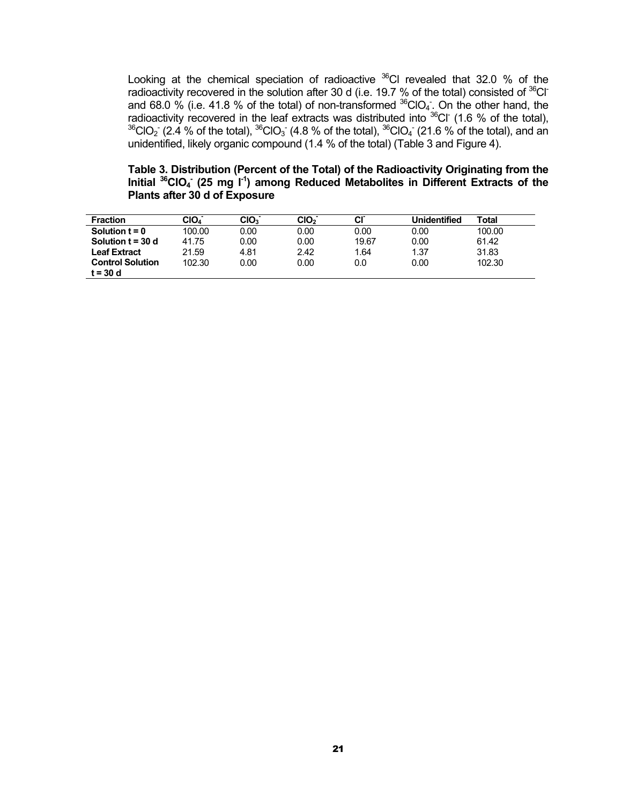Looking at the chemical speciation of radioactive  $36$ Cl revealed that 32.0 % of the radioactivity recovered in the solution after 30 d (i.e. 19.7 % of the total) consisted of  $36$ Cland 68.0 % (i.e. 41.8 % of the total) of non-transformed  $^{36}$ CIO<sub>4</sub>. On the other hand, the radioactivity recovered in the leaf extracts was distributed into  $36$ Cl<sup>-</sup> (1.6 % of the total),  $^{36}$ ClO<sub>2</sub> (2.4 % of the total),  $^{36}$ ClO<sub>3</sub> (4.8 % of the total),  $^{36}$ ClO<sub>4</sub> (21.6 % of the total), and an unidentified, likely organic compound (1.4 % of the total) (Table 3 and Figure 4).

**Table 3. Distribution (Percent of the Total) of the Radioactivity Originating from the**  Initial <sup>36</sup>CIO<sub>4</sub> (25 mg I<sup>-1</sup>) among Reduced Metabolites in Different Extracts of the **Plants after 30 d of Exposure** 

| <b>Fraction</b>         | CIO4 <sup>-</sup> | CIO <sub>3</sub> | CIO <sub>2</sub> | <b>CI</b> | Unidentified | Total  |
|-------------------------|-------------------|------------------|------------------|-----------|--------------|--------|
| Solution $t = 0$        | 100.00            | 0.00             | 0.00             | 0.00      | 0.00         | 100.00 |
| Solution $t = 30$ d     | 41.75             | 0.00             | 0.00             | 19.67     | 0.00         | 61.42  |
| Leaf Extract            | 21.59             | 4.81             | 2.42             | 1.64      | 1.37         | 31.83  |
| <b>Control Solution</b> | 102.30            | 0.00             | 0.00             | 0.0       | 0.00         | 102.30 |
| t = 30 d                |                   |                  |                  |           |              |        |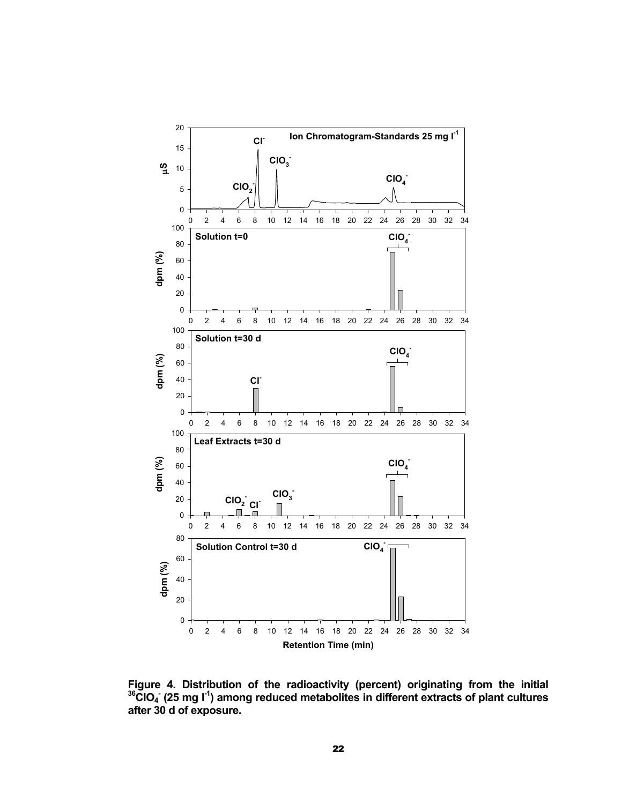

**Figure 4. Distribution of the radioactivity (percent) originating from the initial 36ClO4 - (25 mg l-1) among reduced metabolites in different extracts of plant cultures after 30 d of exposure.**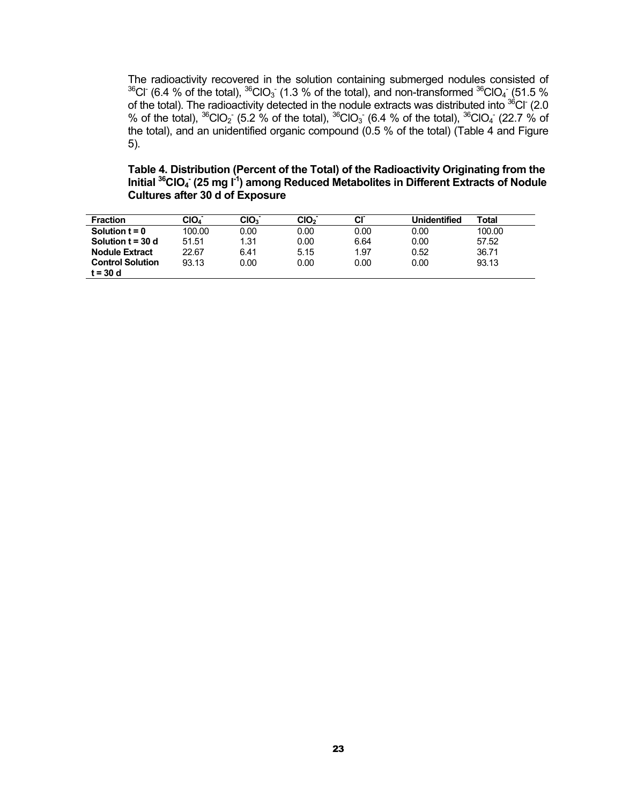The radioactivity recovered in the solution containing submerged nodules consisted of <sup>36</sup>Cl<sup>-</sup> (6.4 % of the total), <sup>36</sup>ClO<sub>3</sub> (1.3 % of the total), and non-transformed <sup>36</sup>ClO<sub>4</sub> (51.5 % of the total). The radioactivity detected in the nodule extracts was distributed into  $^{36}$ Cl<sup>-</sup> (2.0 % of the total),  ${}^{36}$ ClO<sub>2</sub> (5.2 % of the total),  ${}^{36}$ ClO<sub>3</sub> (6.4 % of the total),  ${}^{36}$ ClO<sub>4</sub> (22.7 % of the total), and an unidentified organic compound (0.5 % of the total) (Table 4 and Figure 5).

**Table 4. Distribution (Percent of the Total) of the Radioactivity Originating from the**  Initial <sup>36</sup>CIO<sub>4</sub> (25 mg l<sup>-1</sup>) among Reduced Metabolites in Different Extracts of Nodule **Cultures after 30 d of Exposure** 

| <b>Fraction</b>         | CIO4 <sup>-</sup> | CIO <sub>3</sub> | CIO <sub>2</sub> | <b>CI</b> | Unidentified | Total  |
|-------------------------|-------------------|------------------|------------------|-----------|--------------|--------|
| Solution $t = 0$        | 100.00            | 0.00             | 0.00             | 0.00      | 0.00         | 100.00 |
| Solution $t = 30$ d     | 51.51             | 1.31             | 0.00             | 6.64      | 0.00         | 57.52  |
| <b>Nodule Extract</b>   | 22.67             | 6.41             | 5.15             | 1.97      | 0.52         | 36.71  |
| <b>Control Solution</b> | 93.13             | 0.00             | 0.00             | 0.00      | 0.00         | 93.13  |
| t = 30 d                |                   |                  |                  |           |              |        |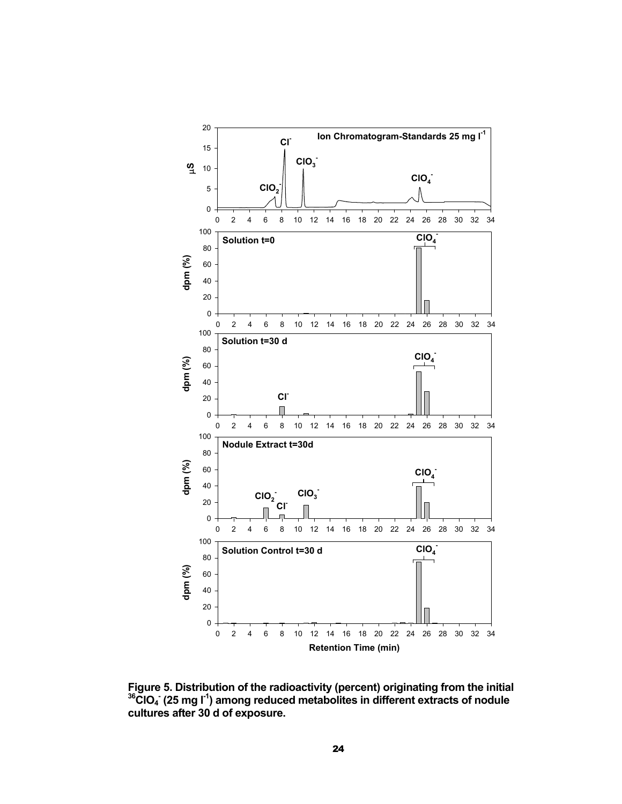

**Figure 5. Distribution of the radioactivity (percent) originating from the initial** <sup>36</sup>CIO<sub>4</sub> (25 mg l<sup>-1</sup>) among reduced metabolites in different extracts of nodule **cultures after 30 d of exposure.**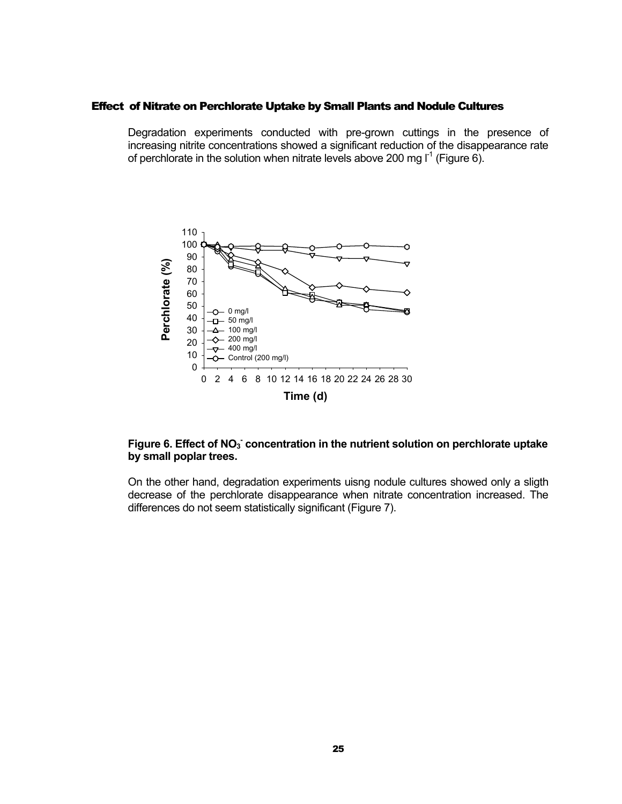#### <span id="page-26-0"></span>Effect of Nitrate on Perchlorate Uptake by Small Plants and Nodule Cultures

Degradation experiments conducted with pre-grown cuttings in the presence of increasing nitrite concentrations showed a significant reduction of the disappearance rate of perchlorate in the solution when nitrate levels above 200 mg  $I^1$  (Figure 6).



### Figure 6. Effect of NO<sub>3</sub> concentration in the nutrient solution on perchlorate uptake **by small poplar trees.**

On the other hand, degradation experiments uisng nodule cultures showed only a sligth decrease of the perchlorate disappearance when nitrate concentration increased. The differences do not seem statistically significant (Figure 7).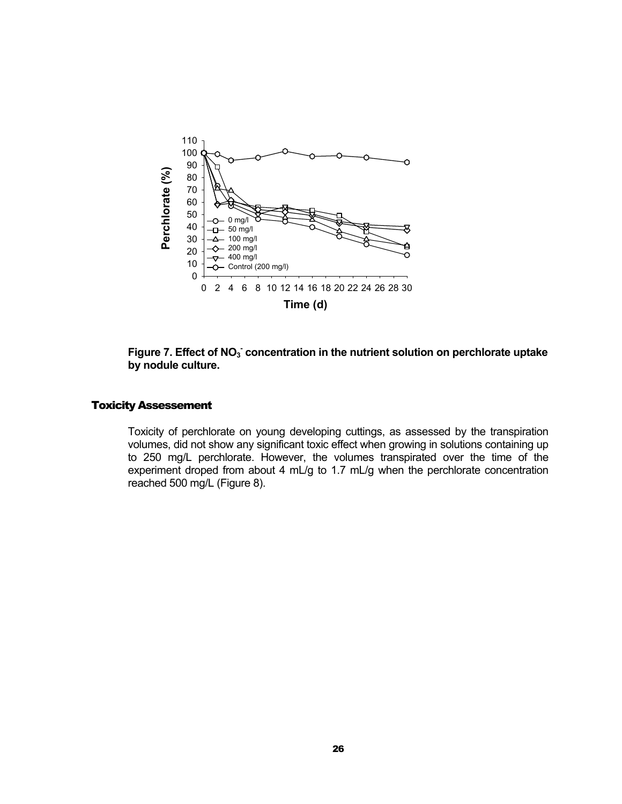<span id="page-27-0"></span>



#### Toxicity Assessement

Toxicity of perchlorate on young developing cuttings, as assessed by the transpiration volumes, did not show any significant toxic effect when growing in solutions containing up to 250 mg/L perchlorate. However, the volumes transpirated over the time of the experiment droped from about 4 mL/g to 1.7 mL/g when the perchlorate concentration reached 500 mg/L (Figure 8).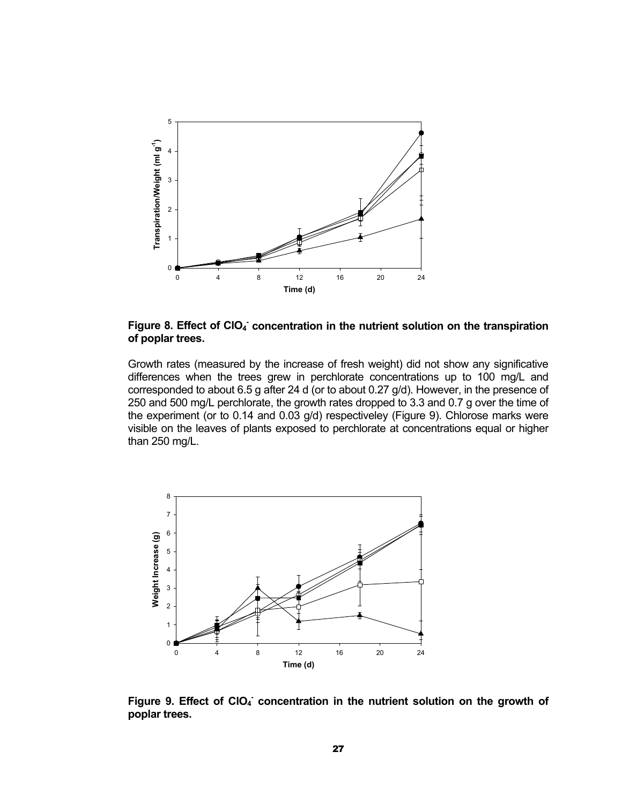

Figure 8. Effect of CIO<sub>4</sub> concentration in the nutrient solution on the transpiration **of poplar trees.** 

Growth rates (measured by the increase of fresh weight) did not show any significative differences when the trees grew in perchlorate concentrations up to 100 mg/L and corresponded to about 6.5 g after 24 d (or to about 0.27 g/d). However, in the presence of 250 and 500 mg/L perchlorate, the growth rates dropped to 3.3 and 0.7 g over the time of the experiment (or to 0.14 and 0.03 g/d) respectiveley (Figure 9). Chlorose marks were visible on the leaves of plants exposed to perchlorate at concentrations equal or higher than 250 mg/L.



Figure 9. Effect of CIO<sub>4</sub> concentration in the nutrient solution on the growth of **poplar trees.**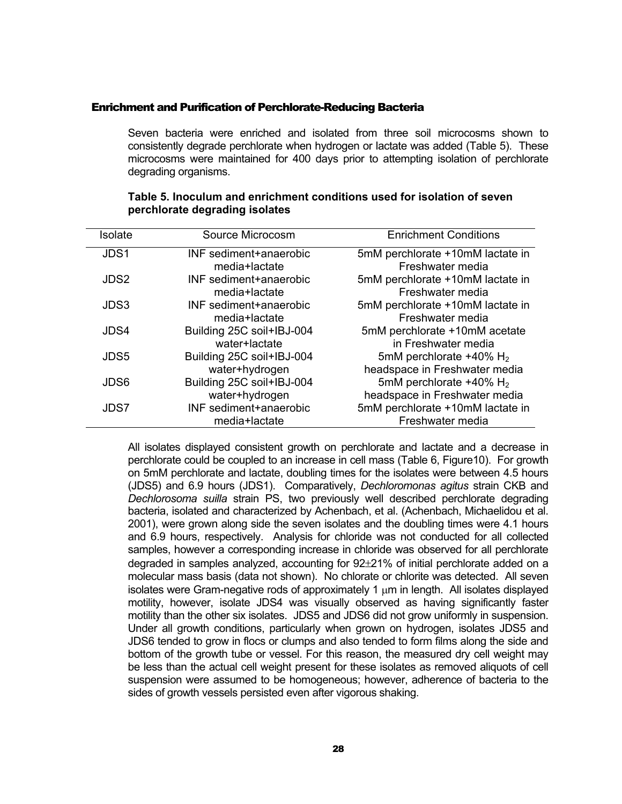#### <span id="page-29-0"></span>Enrichment and Purification of Perchlorate-Reducing Bacteria

Seven bacteria were enriched and isolated from three soil microcosms shown to consistently degrade perchlorate when hydrogen or lactate was added ([Table 5](#page-29-1)). These microcosms were maintained for 400 days prior to attempting isolation of perchlorate degrading organisms.

| Isolate | Source Microcosm          | <b>Enrichment Conditions</b>           |
|---------|---------------------------|----------------------------------------|
| JDS1    | INF sediment+anaerobic    | 5mM perchlorate +10mM lactate in       |
|         | media+lactate             | Freshwater media                       |
| JDS2    | INF sediment+anaerobic    | 5mM perchlorate +10mM lactate in       |
|         | media+lactate             | Freshwater media                       |
| JDS3    | INF sediment+anaerobic    | 5mM perchlorate +10mM lactate in       |
|         | media+lactate             | Freshwater media                       |
| JDS4    | Building 25C soil+IBJ-004 | 5mM perchlorate +10mM acetate          |
|         | water+lactate             | in Freshwater media                    |
| JDS5    | Building 25C soil+IBJ-004 | 5mM perchlorate $+40\%$ H <sub>2</sub> |
|         | water+hydrogen            | headspace in Freshwater media          |
| JDS6    | Building 25C soil+IBJ-004 | 5mM perchlorate $+40\%$ H <sub>2</sub> |
|         | water+hydrogen            | headspace in Freshwater media          |
| JDS7    | INF sediment+anaerobic    | 5mM perchlorate +10mM lactate in       |
|         | media+lactate             | Freshwater media                       |

#### <span id="page-29-1"></span>**Table 5. Inoculum and enrichment conditions used for isolation of seven perchlorate degrading isolates**

All isolates displayed consistent growth on perchlorate and lactate and a decrease in perchlorate could be coupled to an increase in cell mass [\(Table 6](#page-30-0), Figure10). For growth on 5mM perchlorate and lactate, doubling times for the isolates were between 4.5 hours (JDS5) and 6.9 hours (JDS1). Comparatively, *Dechloromonas agitus* strain CKB and *Dechlorosoma suilla* strain PS, two previously well described perchlorate degrading bacteria, isolated and characterized by Achenbach, et al. (Achenbach, Michaelidou et al. 2001), were grown along side the seven isolates and the doubling times were 4.1 hours and 6.9 hours, respectively. Analysis for chloride was not conducted for all collected samples, however a corresponding increase in chloride was observed for all perchlorate degraded in samples analyzed, accounting for 92±21% of initial perchlorate added on a molecular mass basis (data not shown). No chlorate or chlorite was detected. All seven isolates were Gram-negative rods of approximately 1  $\mu$ m in length. All isolates displayed motility, however, isolate JDS4 was visually observed as having significantly faster motility than the other six isolates. JDS5 and JDS6 did not grow uniformly in suspension. Under all growth conditions, particularly when grown on hydrogen, isolates JDS5 and JDS6 tended to grow in flocs or clumps and also tended to form films along the side and bottom of the growth tube or vessel. For this reason, the measured dry cell weight may be less than the actual cell weight present for these isolates as removed aliquots of cell suspension were assumed to be homogeneous; however, adherence of bacteria to the sides of growth vessels persisted even after vigorous shaking.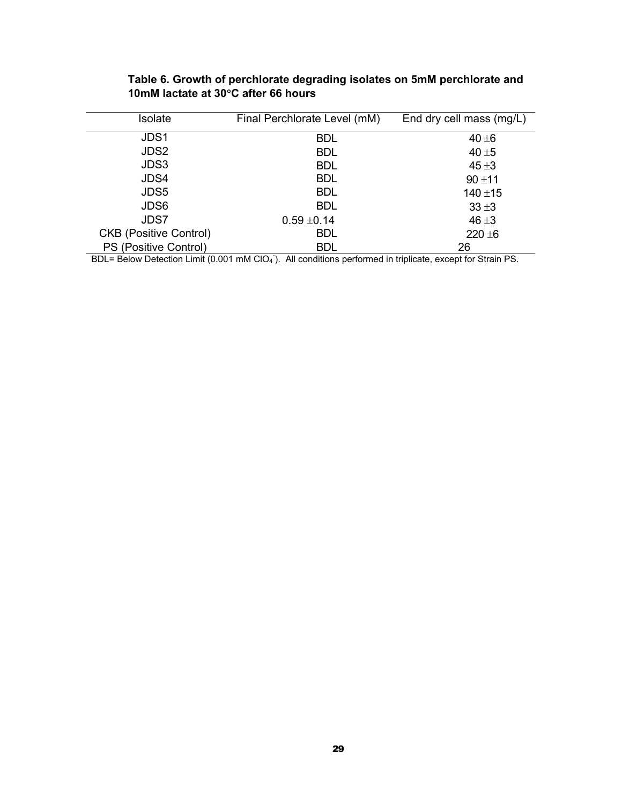| Isolate                       | Final Perchlorate Level (mM) | End dry cell mass (mg/L) |
|-------------------------------|------------------------------|--------------------------|
| JDS1                          | <b>BDL</b>                   | $40 \pm 6$               |
| JDS2                          | <b>BDL</b>                   | 40 $±5$                  |
| JDS3                          | <b>BDL</b>                   | $45 + 3$                 |
| JDS4                          | <b>BDL</b>                   | $90 + 11$                |
| JDS5                          | <b>BDL</b>                   | $140 + 15$               |
| JDS6                          | <b>BDL</b>                   | $33 \pm 3$               |
| JDS7                          | $0.59 \pm 0.14$              | $46 + 3$                 |
| <b>CKB (Positive Control)</b> | <b>BDL</b>                   | $220 + 6$                |
| PS (Positive Control)         | <b>BDL</b>                   | 26                       |

<span id="page-30-0"></span>**Table 6. Growth of perchlorate degrading isolates on 5mM perchlorate and 10mM lactate at 30**°**C after 66 hours** 

BDL= Below Detection Limit (0.001 mM ClO<sub>4</sub><sup>-</sup>). All conditions performed in triplicate, except for Strain PS.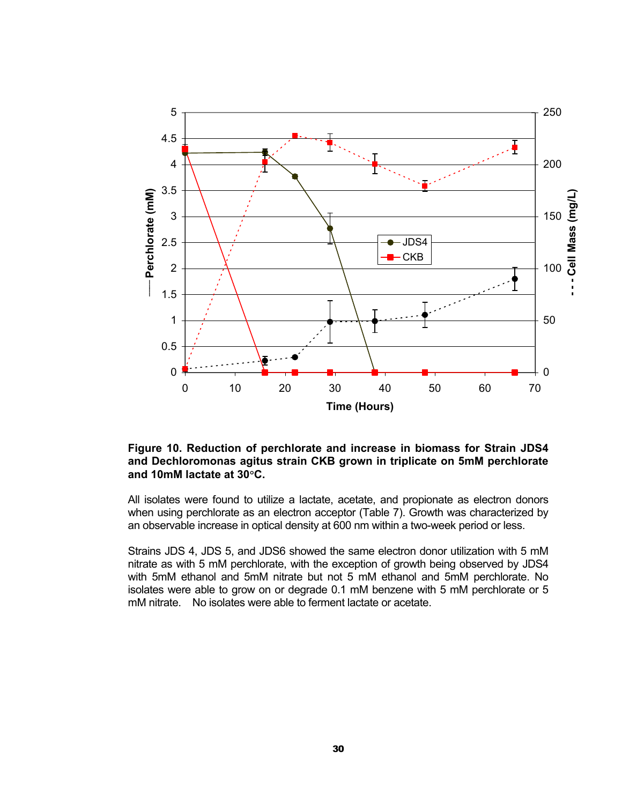

#### **Figure 10. Reduction of perchlorate and increase in biomass for Strain JDS4 and Dechloromonas agitus strain CKB grown in triplicate on 5mM perchlorate and 10mM lactate at 30**°**C.**

All isolates were found to utilize a lactate, acetate, and propionate as electron donors when using perchlorate as an electron acceptor ([Table 7](#page-32-0)). Growth was characterized by an observable increase in optical density at 600 nm within a two-week period or less.

Strains JDS 4, JDS 5, and JDS6 showed the same electron donor utilization with 5 mM nitrate as with 5 mM perchlorate, with the exception of growth being observed by JDS4 with 5mM ethanol and 5mM nitrate but not 5 mM ethanol and 5mM perchlorate. No isolates were able to grow on or degrade 0.1 mM benzene with 5 mM perchlorate or 5 mM nitrate. No isolates were able to ferment lactate or acetate.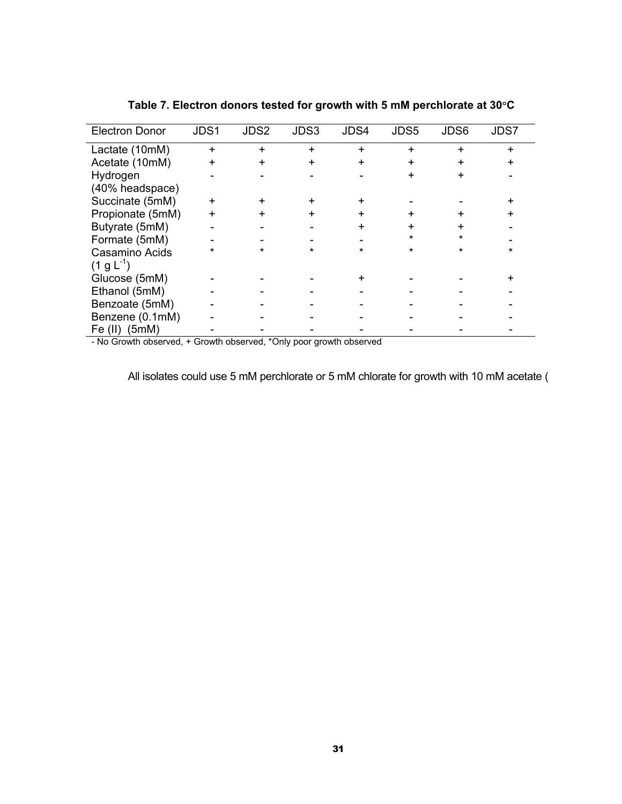| <b>Electron Donor</b> | JDS1      | JDS2 | JDS3      | JDS4      | JDS5      | JDS6    | JDS7 |
|-----------------------|-----------|------|-----------|-----------|-----------|---------|------|
| Lactate (10mM)        | $\ddot{}$ | +    | $\ddot{}$ | $\ddot{}$ | $\ddot{}$ |         | +    |
| Acetate (10mM)        | ÷         | +    | +         | $\ddot{}$ | $\div$    | +       |      |
| Hydrogen              |           |      |           |           | +         | +       |      |
| (40% headspace)       |           |      |           |           |           |         |      |
| Succinate (5mM)       |           |      |           |           |           |         |      |
| Propionate (5mM)      |           | +    | +         | +         |           | ٠       |      |
| Butyrate (5mM)        |           |      |           |           |           |         |      |
| Formate (5mM)         |           |      |           |           |           | $\star$ |      |
| Casamino Acids        |           |      | ÷         | ÷         |           | $\star$ | *    |
| $(1 g L^{-1})$        |           |      |           |           |           |         |      |
| Glucose (5mM)         |           |      |           |           |           |         |      |
| Ethanol (5mM)         |           |      |           |           |           |         |      |
| Benzoate (5mM)        |           |      |           |           |           |         |      |
| Benzene (0.1mM)       |           |      |           |           |           |         |      |
| Fe $(II)$<br>(5mM)    |           |      |           |           |           |         |      |

<span id="page-32-0"></span>**Table 7. Electron donors tested for growth with 5 mM perchlorate at 30**°**C** 

- No Growth observed, + Growth observed, \*Only poor growth observed

All isolates could use 5 mM perchlorate or 5 mM chlorate for growth with 10 mM acetate (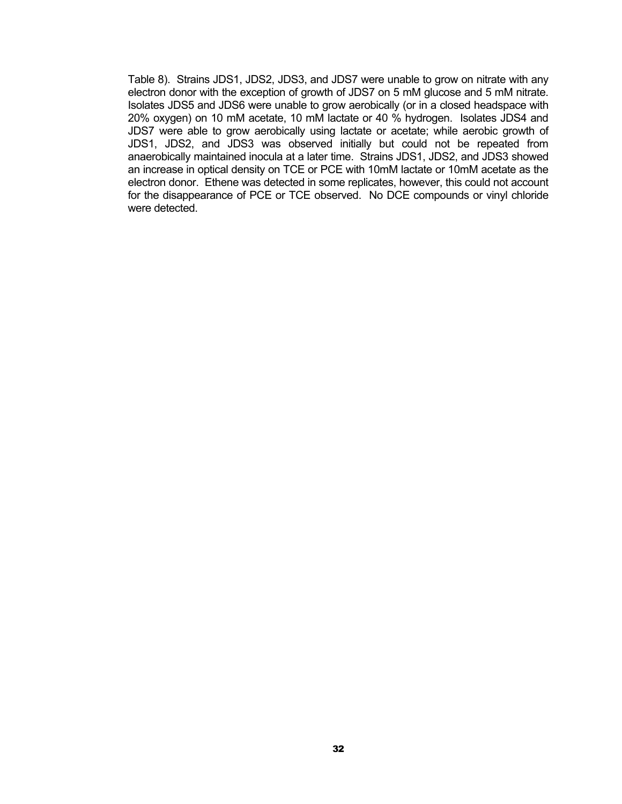[Table 8](#page-34-0)). Strains JDS1, JDS2, JDS3, and JDS7 were unable to grow on nitrate with any electron donor with the exception of growth of JDS7 on 5 mM glucose and 5 mM nitrate. Isolates JDS5 and JDS6 were unable to grow aerobically (or in a closed headspace with 20% oxygen) on 10 mM acetate, 10 mM lactate or 40 % hydrogen. Isolates JDS4 and JDS7 were able to grow aerobically using lactate or acetate; while aerobic growth of JDS1, JDS2, and JDS3 was observed initially but could not be repeated from anaerobically maintained inocula at a later time. Strains JDS1, JDS2, and JDS3 showed an increase in optical density on TCE or PCE with 10mM lactate or 10mM acetate as the electron donor. Ethene was detected in some replicates, however, this could not account for the disappearance of PCE or TCE observed. No DCE compounds or vinyl chloride were detected.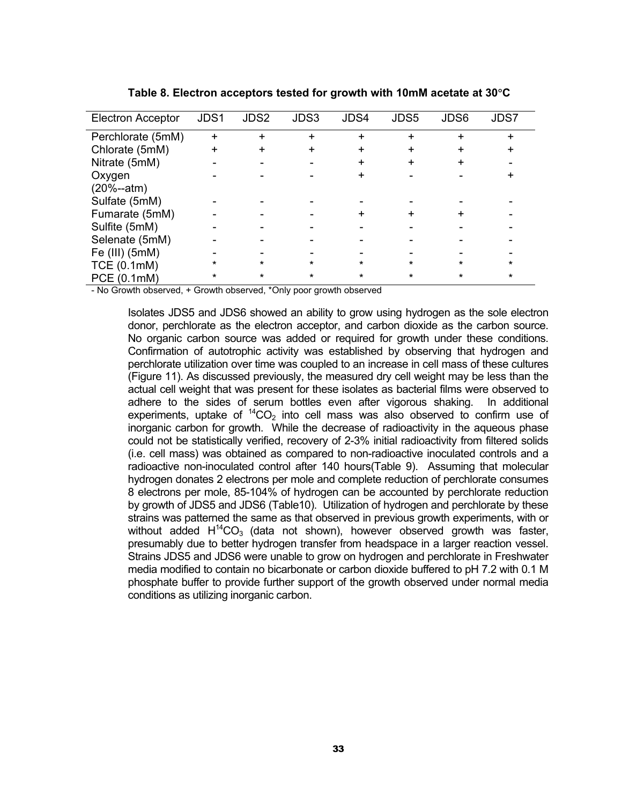| Electron Acceptor  | JDS1      | JDS2    | JDS3      | JDS4      | JDS5    | JDS6    | JDS7    |
|--------------------|-----------|---------|-----------|-----------|---------|---------|---------|
| Perchlorate (5mM)  | $\ddot{}$ |         | $\ddot{}$ | $\ddot{}$ |         |         | ÷       |
| Chlorate (5mM)     | +         | $\div$  | +         | $\div$    |         |         | +       |
| Nitrate (5mM)      |           |         |           |           |         |         |         |
| Oxygen             |           |         |           |           |         |         |         |
| (20%--atm)         |           |         |           |           |         |         |         |
| Sulfate (5mM)      |           |         |           |           |         |         |         |
| Fumarate (5mM)     |           |         |           |           |         |         |         |
| Sulfite (5mM)      |           |         |           |           |         |         |         |
| Selenate (5mM)     |           |         |           |           |         |         |         |
| Fe (III) (5mM)     |           |         |           |           |         |         |         |
| <b>TCE (0.1mM)</b> | $\star$   | $\star$ | $\star$   |           | $\star$ | $\star$ | $\star$ |
| PCE (0.1mM)        | *         | $\star$ | $\star$   | $\star$   | $\star$ | $\star$ | $\star$ |

**Table 8. Electron acceptors tested for growth with 10mM acetate at 30**°**C** 

<span id="page-34-0"></span>- No Growth observed, + Growth observed, \*Only poor growth observed

Isolates JDS5 and JDS6 showed an ability to grow using hydrogen as the sole electron donor, perchlorate as the electron acceptor, and carbon dioxide as the carbon source. No organic carbon source was added or required for growth under these conditions. Confirmation of autotrophic activity was established by observing that hydrogen and perchlorate utilization over time was coupled to an increase in cell mass of these cultures (Figure 11). As discussed previously, the measured dry cell weight may be less than the actual cell weight that was present for these isolates as bacterial films were observed to adhere to the sides of serum bottles even after vigorous shaking. In additional experiments, uptake of  ${}^{14}CO<sub>2</sub>$  into cell mass was also observed to confirm use of inorganic carbon for growth. While the decrease of radioactivity in the aqueous phase could not be statistically verified, recovery of 2-3% initial radioactivity from filtered solids (i.e. cell mass) was obtained as compared to non-radioactive inoculated controls and a radioactive non-inoculated control after 140 hours(Table 9). Assuming that molecular hydrogen donates 2 electrons per mole and complete reduction of perchlorate consumes 8 electrons per mole, 85-104% of hydrogen can be accounted by perchlorate reduction by growth of JDS5 and JDS6 (Table10). Utilization of hydrogen and perchlorate by these strains was patterned the same as that observed in previous growth experiments, with or without added  $H^{14}CO<sub>3</sub>$  (data not shown), however observed growth was faster, presumably due to better hydrogen transfer from headspace in a larger reaction vessel. Strains JDS5 and JDS6 were unable to grow on hydrogen and perchlorate in Freshwater media modified to contain no bicarbonate or carbon dioxide buffered to pH 7.2 with 0.1 M phosphate buffer to provide further support of the growth observed under normal media conditions as utilizing inorganic carbon.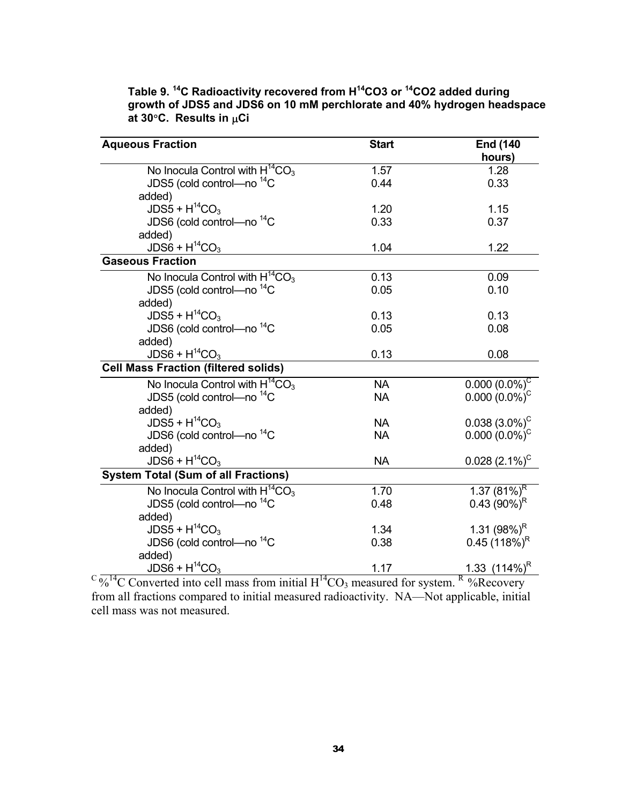| <b>Aqueous Fraction</b>                     | <b>Start</b> | <b>End (140</b>            |
|---------------------------------------------|--------------|----------------------------|
|                                             |              | hours)                     |
| No Inocula Control with $H^{14}CO_3$        | 1.57         | 1.28                       |
| JDS5 (cold control—no <sup>14</sup> C       | 0.44         | 0.33                       |
| added)                                      |              |                            |
| $JDS5 + H^{14}CO3$                          | 1.20         | 1.15                       |
| JDS6 (cold control-no <sup>14</sup> C       | 0.33         | 0.37                       |
| added)                                      |              |                            |
| $JDS6 + H^{14}CO3$                          | 1.04         | 1.22                       |
| <b>Gaseous Fraction</b>                     |              |                            |
| No Inocula Control with $H^{14}CO_3$        | 0.13         | 0.09                       |
| JDS5 (cold control—no <sup>14</sup> C       | 0.05         | 0.10                       |
| added)                                      |              |                            |
| $JDS5 + H^{14}CO3$                          | 0.13         | 0.13                       |
| JDS6 (cold control-no <sup>14</sup> C       | 0.05         | 0.08                       |
| added)                                      |              |                            |
| $JDS6 + H^{14}CO3$                          | 0.13         | 0.08                       |
| <b>Cell Mass Fraction (filtered solids)</b> |              |                            |
| No Inocula Control with $H^{14}CO_3$        | <b>NA</b>    | $0.000(0.0\%)^C$           |
| JDS5 (cold control-no <sup>14</sup> C       | <b>NA</b>    | $0.000(0.0\%)^C$           |
| added)                                      |              |                            |
| $JDS5 + H^{14}CO3$                          | <b>NA</b>    | $0.038(3.0\%)^C$           |
| JDS6 (cold control—no <sup>14</sup> C       | <b>NA</b>    | $0.000(0.0\%)^C$           |
| added)                                      |              |                            |
| $JDS6 + H^{14}CO3$                          | <b>NA</b>    | $0.028~(2.1\%)^C$          |
| <b>System Total (Sum of all Fractions)</b>  |              |                            |
| No Inocula Control with $H^{14}CO_3$        | 1.70         | 1.37 $(81\%)^R$            |
| JDS5 (cold control-no <sup>14</sup> C       | 0.48         | 0.43 $(90\%)^R$            |
| added)                                      |              |                            |
| $JDS5 + H^{14}CO3$                          | 1.34         | 1.31 $(98%)^R$             |
| JDS6 (cold control-no <sup>14</sup> C       | 0.38         | $0.45(118%)^R$             |
| added)                                      |              |                            |
| $JDS6 + H^{14}CO3$                          | 1.17         | $1.33$ (114%) <sup>R</sup> |

**Table 9. 14C Radioactivity recovered from H14CO3 or 14CO2 added during growth of JDS5 and JDS6 on 10 mM perchlorate and 40% hydrogen headspace at 30**°**C. Results in** µ**Ci**

 $C \frac{1}{\sqrt{2}}$ <sup>14</sup>C Converted into cell mass from initial H<sup>14</sup>CO<sub>3</sub> measured for system. R %Recovery from all fractions compared to initial measured radioactivity. NA—Not applicable, initial cell mass was not measured.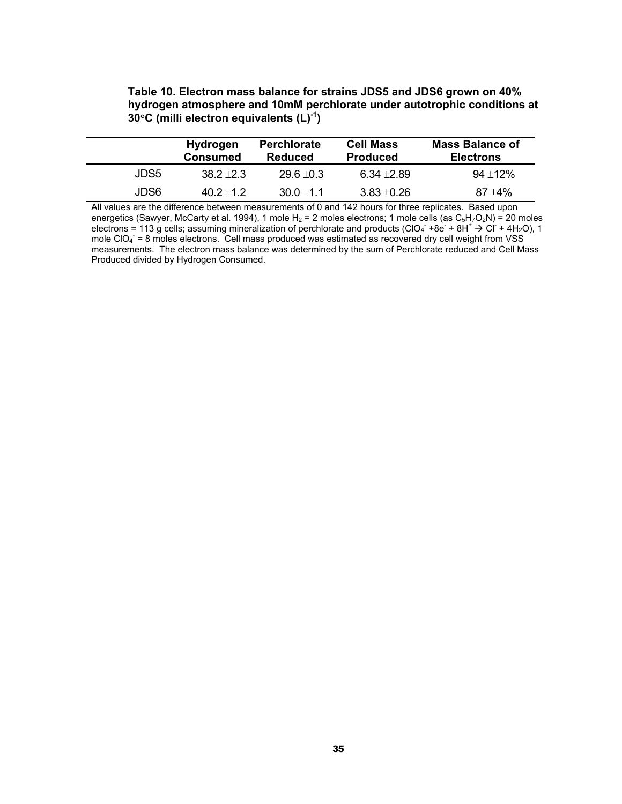#### **Table 10. Electron mass balance for strains JDS5 and JDS6 grown on 40% hydrogen atmosphere and 10mM perchlorate under autotrophic conditions at 30**°**C (milli electron equivalents (L)-1)**

|      | <b>Hydrogen</b><br><b>Consumed</b> | <b>Perchlorate</b><br>Reduced | <b>Cell Mass</b><br><b>Produced</b> | <b>Mass Balance of</b><br><b>Electrons</b> |
|------|------------------------------------|-------------------------------|-------------------------------------|--------------------------------------------|
| JDS5 | $38.2 + 2.3$                       | $29.6 + 0.3$                  | $6.34 + 2.89$                       | $94 + 12%$                                 |
| JDS6 | $40.2 + 1.2$                       | $30.0 + 1.1$                  | $3.83 + 0.26$                       | $87 + 4\%$                                 |

All values are the difference between measurements of 0 and 142 hours for three replicates. Based upon energetics (Sawyer, McCarty et al. 1994), 1 mole H<sub>2</sub> = 2 moles electrons; 1 mole cells (as C<sub>5</sub>H<sub>7</sub>O<sub>2</sub>N) = 20 moles electrons = 113 g cells; assuming mineralization of perchlorate and products (ClO<sub>4</sub> +8e + 8H<sup>+</sup>  $\rightarrow$  Cl + 4H<sub>2</sub>O), 1 mole CIO $_4$  = 8 moles electrons. Cell mass produced was estimated as recovered dry cell weight from VSS measurements. The electron mass balance was determined by the sum of Perchlorate reduced and Cell Mass Produced divided by Hydrogen Consumed.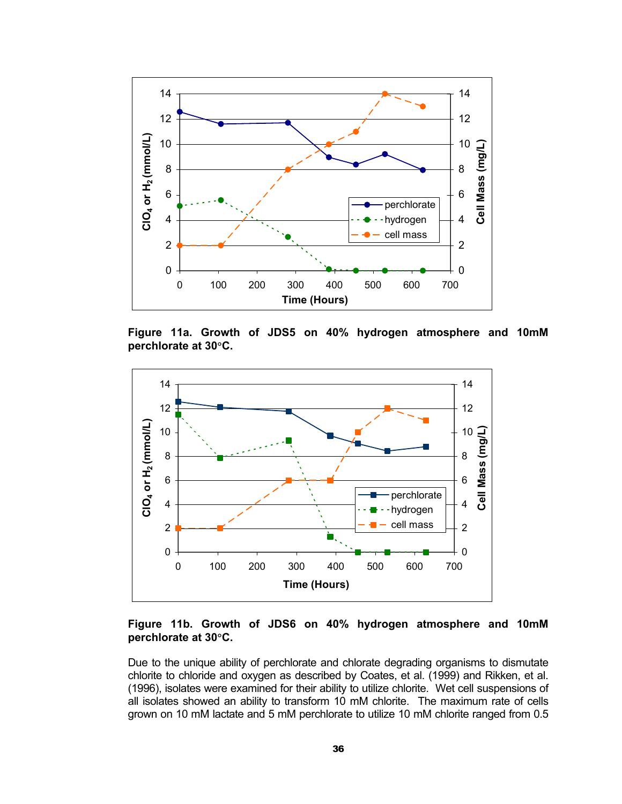

**Figure 11a. Growth of JDS5 on 40% hydrogen atmosphere and 10mM perchlorate at 30**°**C.** 



**Figure 11b. Growth of JDS6 on 40% hydrogen atmosphere and 10mM perchlorate at 30**°**C.** 

Due to the unique ability of perchlorate and chlorate degrading organisms to dismutate chlorite to chloride and oxygen as described by Coates, et al. (1999) and Rikken, et al. (1996), isolates were examined for their ability to utilize chlorite. Wet cell suspensions of all isolates showed an ability to transform 10 mM chlorite. The maximum rate of cells grown on 10 mM lactate and 5 mM perchlorate to utilize 10 mM chlorite ranged from 0.5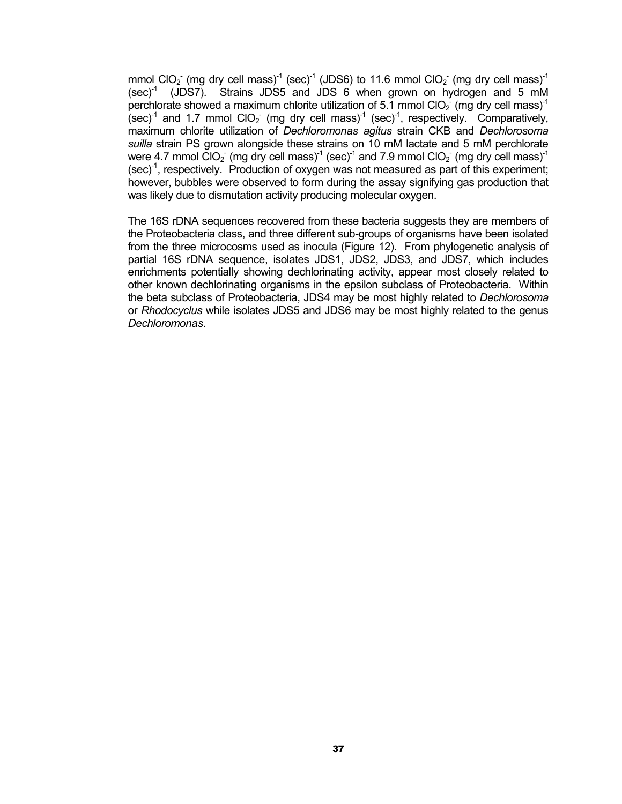mmol ClO<sub>2</sub> (mg dry cell mass)<sup>-1</sup> (sec)<sup>-1</sup> (JDS6) to 11.6 mmol ClO<sub>2</sub> (mg dry cell mass)<sup>-1</sup>  $(\text{sec})^1$  (JDS7). Strains JDS5 and JDS 6 when grown on hydrogen and 5 mM perchlorate showed a maximum chlorite utilization of 5.1 mmol ClO<sub>2</sub> (mg dry cell mass)<sup>-1</sup>  $(\text{sec})^1$  and 1.7 mmol CIO<sub>2</sub> (mg dry cell mass)<sup>-1</sup> (sec)<sup>-1</sup>, respectively. Comparatively, maximum chlorite utilization of *Dechloromonas agitus* strain CKB and *Dechlorosoma suilla* strain PS grown alongside these strains on 10 mM lactate and 5 mM perchlorate were 4.7 mmol ClO<sub>2</sub> (mg dry cell mass)<sup>-1</sup> (sec)<sup>-1</sup> and 7.9 mmol ClO<sub>2</sub> (mg dry cell mass)<sup>-1</sup>  $(sec)^{-1}$ , respectively. Production of oxygen was not measured as part of this experiment; however, bubbles were observed to form during the assay signifying gas production that was likely due to dismutation activity producing molecular oxygen.

The 16S rDNA sequences recovered from these bacteria suggests they are members of the Proteobacteria class, and three different sub-groups of organisms have been isolated from the three microcosms used as inocula (Figure 12). From phylogenetic analysis of partial 16S rDNA sequence, isolates JDS1, JDS2, JDS3, and JDS7, which includes enrichments potentially showing dechlorinating activity, appear most closely related to other known dechlorinating organisms in the epsilon subclass of Proteobacteria. Within the beta subclass of Proteobacteria, JDS4 may be most highly related to *Dechlorosoma* or *Rhodocyclus* while isolates JDS5 and JDS6 may be most highly related to the genus *Dechloromonas*.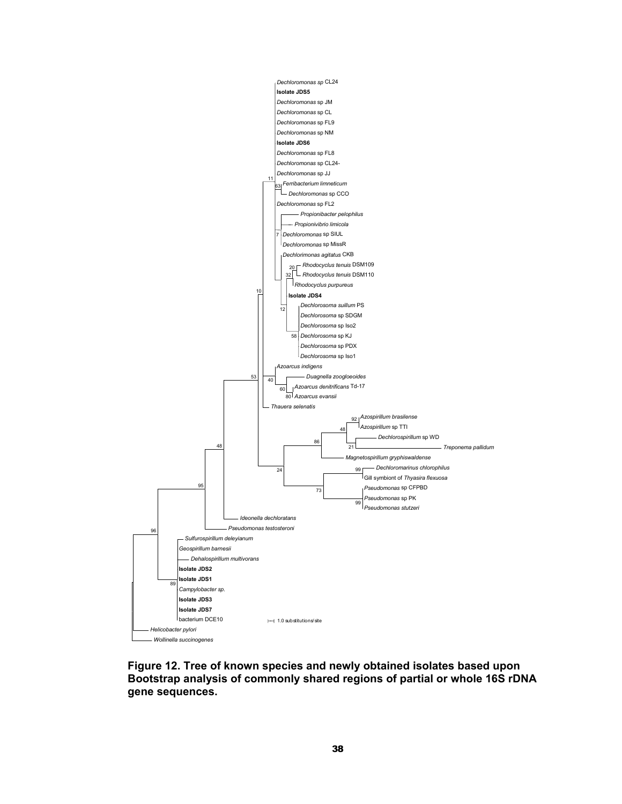

**Figure 12. Tree of known species and newly obtained isolates based upon Bootstrap analysis of commonly shared regions of partial or whole 16S rDNA gene sequences.**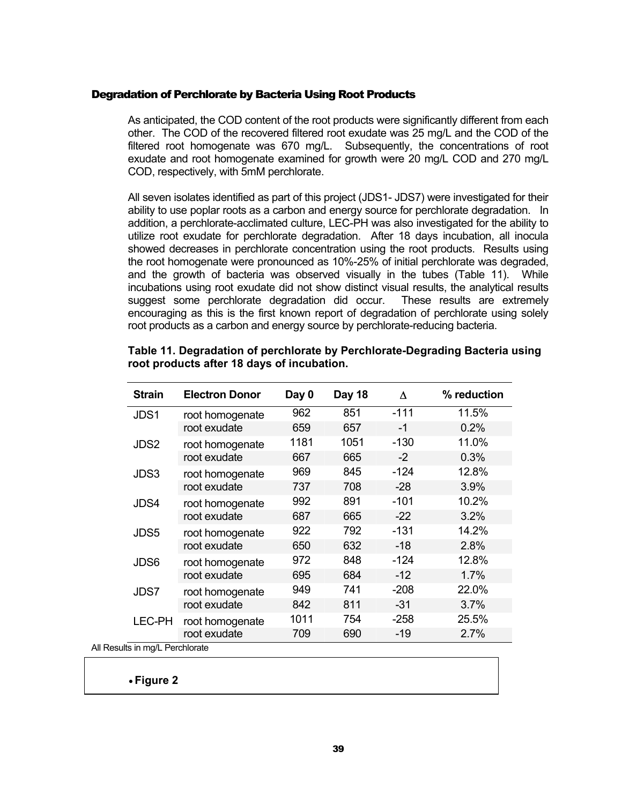#### <span id="page-40-0"></span>Degradation of Perchlorate by Bacteria Using Root Products

As anticipated, the COD content of the root products were significantly different from each other. The COD of the recovered filtered root exudate was 25 mg/L and the COD of the filtered root homogenate was 670 mg/L. Subsequently, the concentrations of root exudate and root homogenate examined for growth were 20 mg/L COD and 270 mg/L COD, respectively, with 5mM perchlorate.

All seven isolates identified as part of this project (JDS1- JDS7) were investigated for their ability to use poplar roots as a carbon and energy source for perchlorate degradation. In addition, a perchlorate-acclimated culture, LEC-PH was also investigated for the ability to utilize root exudate for perchlorate degradation. After 18 days incubation, all inocula showed decreases in perchlorate concentration using the root products. Results using the root homogenate were pronounced as 10%-25% of initial perchlorate was degraded, and the growth of bacteria was observed visually in the tubes ([Table 1](#page-40-1)1). While incubations using root exudate did not show distinct visual results, the analytical results suggest some perchlorate degradation did occur. These results are extremely encouraging as this is the first known report of degradation of perchlorate using solely root products as a carbon and energy source by perchlorate-reducing bacteria.

|                            | <b>Strain</b> | <b>Electron Donor</b> | Day 0 | Day 18 | Δ      | % reduction |
|----------------------------|---------------|-----------------------|-------|--------|--------|-------------|
|                            | JDS1          | root homogenate       | 962   | 851    | $-111$ | 11.5%       |
|                            |               | root exudate          | 659   | 657    | -1     | 0.2%        |
|                            | JDS2          | root homogenate       | 1181  | 1051   | $-130$ | 11.0%       |
|                            |               | root exudate          | 667   | 665    | $-2$   | 0.3%        |
|                            | JDS3          | root homogenate       | 969   | 845    | $-124$ | 12.8%       |
|                            |               | root exudate          | 737   | 708    | $-28$  | 3.9%        |
|                            | JDS4          | root homogenate       | 992   | 891    | $-101$ | 10.2%       |
|                            |               | root exudate          | 687   | 665    | $-22$  | 3.2%        |
|                            | JDS5          | root homogenate       | 922   | 792    | $-131$ | 14.2%       |
|                            |               | root exudate          | 650   | 632    | $-18$  | 2.8%        |
|                            | JDS6          | root homogenate       | 972   | 848    | $-124$ | 12.8%       |
|                            |               | root exudate          | 695   | 684    | $-12$  | 1.7%        |
|                            | JDS7          | root homogenate       | 949   | 741    | $-208$ | 22.0%       |
|                            |               | root exudate          | 842   | 811    | $-31$  | 3.7%        |
|                            | <b>LEC-PH</b> | root homogenate       | 1011  | 754    | $-258$ | 25.5%       |
|                            |               | root exudate          | 709   | 690    | $-19$  | 2.7%        |
| sults in ma/l. Perchlorate |               |                       |       |        |        |             |

#### <span id="page-40-1"></span>**Table 11. Degradation of perchlorate by Perchlorate-Degrading Bacteria using root products after 18 days of incubation.**

All Results in mg/L Perchlorate

• **Figure 2**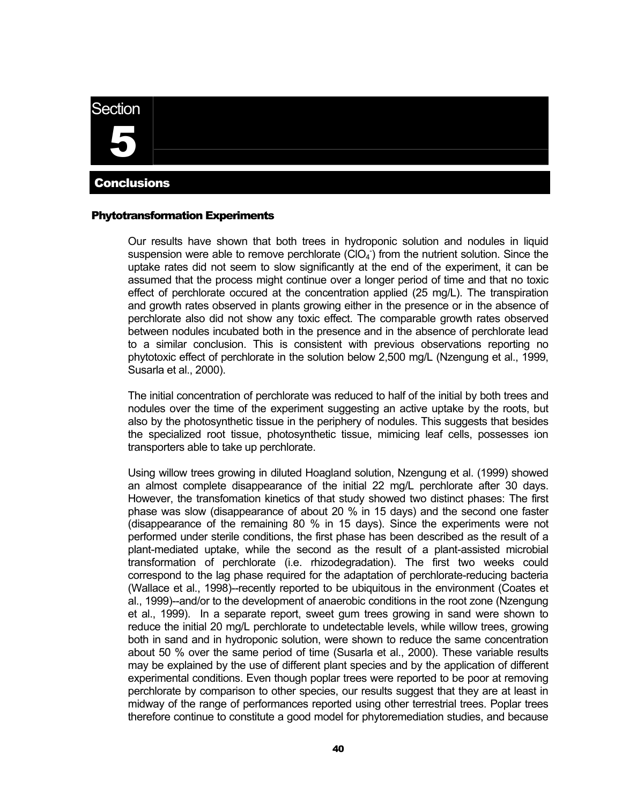<span id="page-41-0"></span>**Section** 



### **Conclusions**

#### Phytotransformation Experiments

Our results have shown that both trees in hydroponic solution and nodules in liquid suspension were able to remove perchlorate  $(CIO<sub>4</sub>)$  from the nutrient solution. Since the uptake rates did not seem to slow significantly at the end of the experiment, it can be assumed that the process might continue over a longer period of time and that no toxic effect of perchlorate occured at the concentration applied (25 mg/L). The transpiration and growth rates observed in plants growing either in the presence or in the absence of perchlorate also did not show any toxic effect. The comparable growth rates observed between nodules incubated both in the presence and in the absence of perchlorate lead to a similar conclusion. This is consistent with previous observations reporting no phytotoxic effect of perchlorate in the solution below 2,500 mg/L (Nzengung et al., 1999, Susarla et al., 2000).

The initial concentration of perchlorate was reduced to half of the initial by both trees and nodules over the time of the experiment suggesting an active uptake by the roots, but also by the photosynthetic tissue in the periphery of nodules. This suggests that besides the specialized root tissue, photosynthetic tissue, mimicing leaf cells, possesses ion transporters able to take up perchlorate.

Using willow trees growing in diluted Hoagland solution, Nzengung et al. (1999) showed an almost complete disappearance of the initial 22 mg/L perchlorate after 30 days. However, the transfomation kinetics of that study showed two distinct phases: The first phase was slow (disappearance of about 20 % in 15 days) and the second one faster (disappearance of the remaining 80 % in 15 days). Since the experiments were not performed under sterile conditions, the first phase has been described as the result of a plant-mediated uptake, while the second as the result of a plant-assisted microbial transformation of perchlorate (i.e. rhizodegradation). The first two weeks could correspond to the lag phase required for the adaptation of perchlorate-reducing bacteria (Wallace et al., 1998)--recently reported to be ubiquitous in the environment (Coates et al., 1999)--and/or to the development of anaerobic conditions in the root zone (Nzengung et al., 1999). In a separate report, sweet gum trees growing in sand were shown to reduce the initial 20 mg/L perchlorate to undetectable levels, while willow trees, growing both in sand and in hydroponic solution, were shown to reduce the same concentration about 50 % over the same period of time (Susarla et al., 2000). These variable results may be explained by the use of different plant species and by the application of different experimental conditions. Even though poplar trees were reported to be poor at removing perchlorate by comparison to other species, our results suggest that they are at least in midway of the range of performances reported using other terrestrial trees. Poplar trees therefore continue to constitute a good model for phytoremediation studies, and because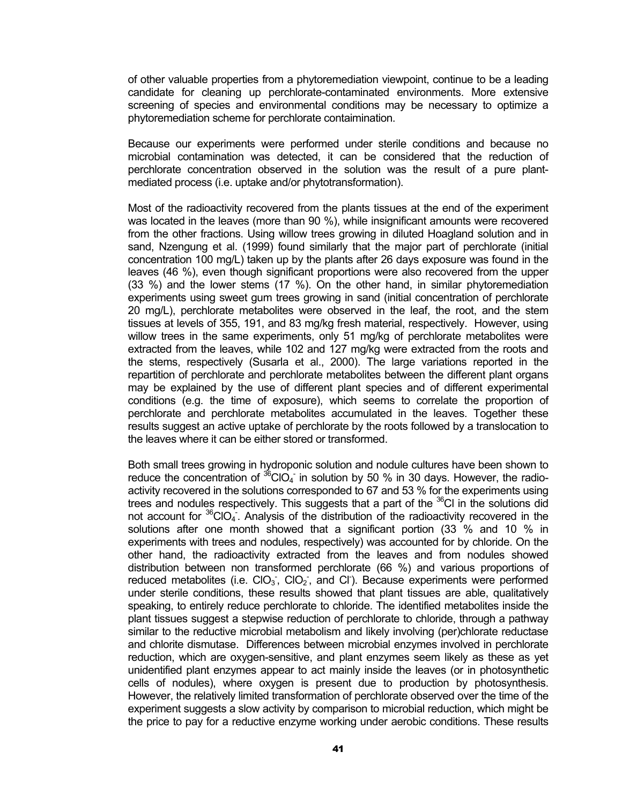of other valuable properties from a phytoremediation viewpoint, continue to be a leading candidate for cleaning up perchlorate-contaminated environments. More extensive screening of species and environmental conditions may be necessary to optimize a phytoremediation scheme for perchlorate contaimination.

Because our experiments were performed under sterile conditions and because no microbial contamination was detected, it can be considered that the reduction of perchlorate concentration observed in the solution was the result of a pure plantmediated process (i.e. uptake and/or phytotransformation).

Most of the radioactivity recovered from the plants tissues at the end of the experiment was located in the leaves (more than 90 %), while insignificant amounts were recovered from the other fractions. Using willow trees growing in diluted Hoagland solution and in sand, Nzengung et al. (1999) found similarly that the major part of perchlorate (initial concentration 100 mg/L) taken up by the plants after 26 days exposure was found in the leaves (46 %), even though significant proportions were also recovered from the upper (33 %) and the lower stems (17 %). On the other hand, in similar phytoremediation experiments using sweet gum trees growing in sand (initial concentration of perchlorate 20 mg/L), perchlorate metabolites were observed in the leaf, the root, and the stem tissues at levels of 355, 191, and 83 mg/kg fresh material, respectively. However, using willow trees in the same experiments, only 51 mg/kg of perchlorate metabolites were extracted from the leaves, while 102 and 127 mg/kg were extracted from the roots and the stems, respectively (Susarla et al., 2000). The large variations reported in the repartition of perchlorate and perchlorate metabolites between the different plant organs may be explained by the use of different plant species and of different experimental conditions (e.g. the time of exposure), which seems to correlate the proportion of perchlorate and perchlorate metabolites accumulated in the leaves. Together these results suggest an active uptake of perchlorate by the roots followed by a translocation to the leaves where it can be either stored or transformed.

Both small trees growing in hydroponic solution and nodule cultures have been shown to reduce the concentration of  ${}^{36}$ CIO<sub>4</sub> in solution by 50 % in 30 days. However, the radioactivity recovered in the solutions corresponded to 67 and 53 % for the experiments using trees and nodules respectively. This suggests that a part of the  $36$ Cl in the solutions did not account for  $36$ CIO<sub>4</sub>. Analysis of the distribution of the radioactivity recovered in the solutions after one month showed that a significant portion (33 % and 10 % in experiments with trees and nodules, respectively) was accounted for by chloride. On the other hand, the radioactivity extracted from the leaves and from nodules showed distribution between non transformed perchlorate (66 %) and various proportions of reduced metabolites (i.e.  $ClO<sub>3</sub>$ ,  $ClO<sub>2</sub>$ , and CI). Because experiments were performed under sterile conditions, these results showed that plant tissues are able, qualitatively speaking, to entirely reduce perchlorate to chloride. The identified metabolites inside the plant tissues suggest a stepwise reduction of perchlorate to chloride, through a pathway similar to the reductive microbial metabolism and likely involving (per)chlorate reductase and chlorite dismutase. Differences between microbial enzymes involved in perchlorate reduction, which are oxygen-sensitive, and plant enzymes seem likely as these as yet unidentified plant enzymes appear to act mainly inside the leaves (or in photosynthetic cells of nodules), where oxygen is present due to production by photosynthesis. However, the relatively limited transformation of perchlorate observed over the time of the experiment suggests a slow activity by comparison to microbial reduction, which might be the price to pay for a reductive enzyme working under aerobic conditions. These results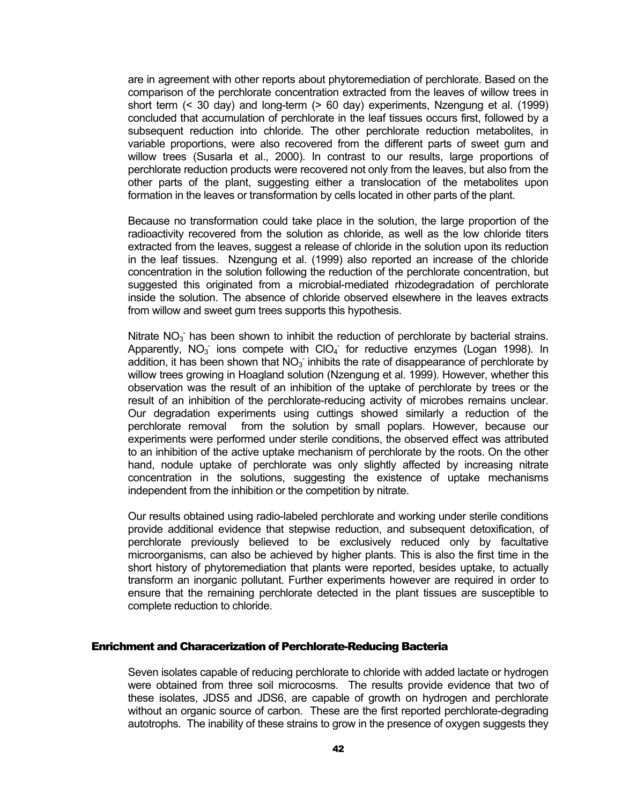<span id="page-43-0"></span>are in agreement with other reports about phytoremediation of perchlorate. Based on the comparison of the perchlorate concentration extracted from the leaves of willow trees in short term (< 30 day) and long-term (> 60 day) experiments, Nzengung et al. (1999) concluded that accumulation of perchlorate in the leaf tissues occurs first, followed by a subsequent reduction into chloride. The other perchlorate reduction metabolites, in variable proportions, were also recovered from the different parts of sweet gum and willow trees (Susarla et al., 2000). In contrast to our results, large proportions of perchlorate reduction products were recovered not only from the leaves, but also from the other parts of the plant, suggesting either a translocation of the metabolites upon formation in the leaves or transformation by cells located in other parts of the plant.

Because no transformation could take place in the solution, the large proportion of the radioactivity recovered from the solution as chloride, as well as the low chloride titers extracted from the leaves, suggest a release of chloride in the solution upon its reduction in the leaf tissues. Nzengung et al. (1999) also reported an increase of the chloride concentration in the solution following the reduction of the perchlorate concentration, but suggested this originated from a microbial-mediated rhizodegradation of perchlorate inside the solution. The absence of chloride observed elsewhere in the leaves extracts from willow and sweet gum trees supports this hypothesis.

Nitrate  $NO<sub>3</sub>$  has been shown to inhibit the reduction of perchlorate by bacterial strains. Apparently,  $NO_3$  ions compete with  $ClO_4$  for reductive enzymes (Logan 1998). In addition, it has been shown that  $NO<sub>3</sub>$  inhibits the rate of disappearance of perchlorate by willow trees growing in Hoagland solution (Nzengung et al. 1999). However, whether this observation was the result of an inhibition of the uptake of perchlorate by trees or the result of an inhibition of the perchlorate-reducing activity of microbes remains unclear. Our degradation experiments using cuttings showed similarly a reduction of the perchlorate removal from the solution by small poplars. However, because our experiments were performed under sterile conditions, the observed effect was attributed to an inhibition of the active uptake mechanism of perchlorate by the roots. On the other hand, nodule uptake of perchlorate was only slightly affected by increasing nitrate concentration in the solutions, suggesting the existence of uptake mechanisms independent from the inhibition or the competition by nitrate.

Our results obtained using radio-labeled perchlorate and working under sterile conditions provide additional evidence that stepwise reduction, and subsequent detoxification, of perchlorate previously believed to be exclusively reduced only by facultative microorganisms, can also be achieved by higher plants. This is also the first time in the short history of phytoremediation that plants were reported, besides uptake, to actually transform an inorganic pollutant. Further experiments however are required in order to ensure that the remaining perchlorate detected in the plant tissues are susceptible to complete reduction to chloride.

#### Enrichment and Characerization of Perchlorate-Reducing Bacteria

Seven isolates capable of reducing perchlorate to chloride with added lactate or hydrogen were obtained from three soil microcosms. The results provide evidence that two of these isolates, JDS5 and JDS6, are capable of growth on hydrogen and perchlorate without an organic source of carbon. These are the first reported perchlorate-degrading autotrophs. The inability of these strains to grow in the presence of oxygen suggests they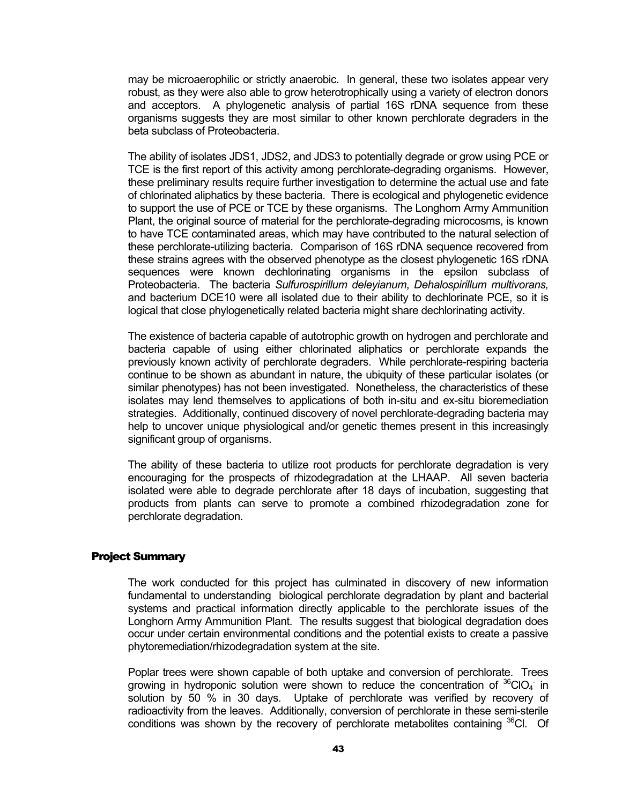<span id="page-44-0"></span>may be microaerophilic or strictly anaerobic. In general, these two isolates appear very robust, as they were also able to grow heterotrophically using a variety of electron donors and acceptors. A phylogenetic analysis of partial 16S rDNA sequence from these organisms suggests they are most similar to other known perchlorate degraders in the beta subclass of Proteobacteria.

The ability of isolates JDS1, JDS2, and JDS3 to potentially degrade or grow using PCE or TCE is the first report of this activity among perchlorate-degrading organisms. However, these preliminary results require further investigation to determine the actual use and fate of chlorinated aliphatics by these bacteria. There is ecological and phylogenetic evidence to support the use of PCE or TCE by these organisms. The Longhorn Army Ammunition Plant, the original source of material for the perchlorate-degrading microcosms, is known to have TCE contaminated areas, which may have contributed to the natural selection of these perchlorate-utilizing bacteria. Comparison of 16S rDNA sequence recovered from these strains agrees with the observed phenotype as the closest phylogenetic 16S rDNA sequences were known dechlorinating organisms in the epsilon subclass of Proteobacteria. The bacteria *Sulfurospirillum deleyianum*, *Dehalospirillum multivorans,* and bacterium DCE10 were all isolated due to their ability to dechlorinate PCE, so it is logical that close phylogenetically related bacteria might share dechlorinating activity.

The existence of bacteria capable of autotrophic growth on hydrogen and perchlorate and bacteria capable of using either chlorinated aliphatics or perchlorate expands the previously known activity of perchlorate degraders. While perchlorate-respiring bacteria continue to be shown as abundant in nature, the ubiquity of these particular isolates (or similar phenotypes) has not been investigated. Nonetheless, the characteristics of these isolates may lend themselves to applications of both in-situ and ex-situ bioremediation strategies. Additionally, continued discovery of novel perchlorate-degrading bacteria may help to uncover unique physiological and/or genetic themes present in this increasingly significant group of organisms.

The ability of these bacteria to utilize root products for perchlorate degradation is very encouraging for the prospects of rhizodegradation at the LHAAP. All seven bacteria isolated were able to degrade perchlorate after 18 days of incubation, suggesting that products from plants can serve to promote a combined rhizodegradation zone for perchlorate degradation.

#### Project Summary

The work conducted for this project has culminated in discovery of new information fundamental to understanding biological perchlorate degradation by plant and bacterial systems and practical information directly applicable to the perchlorate issues of the Longhorn Army Ammunition Plant. The results suggest that biological degradation does occur under certain environmental conditions and the potential exists to create a passive phytoremediation/rhizodegradation system at the site.

Poplar trees were shown capable of both uptake and conversion of perchlorate. Trees growing in hydroponic solution were shown to reduce the concentration of  ${}^{36}$ CIO<sub>4</sub> in solution by 50 % in 30 days. Uptake of perchlorate was verified by recovery of radioactivity from the leaves. Additionally, conversion of perchlorate in these semi-sterile conditions was shown by the recovery of perchlorate metabolites containing  $36$ Cl. Of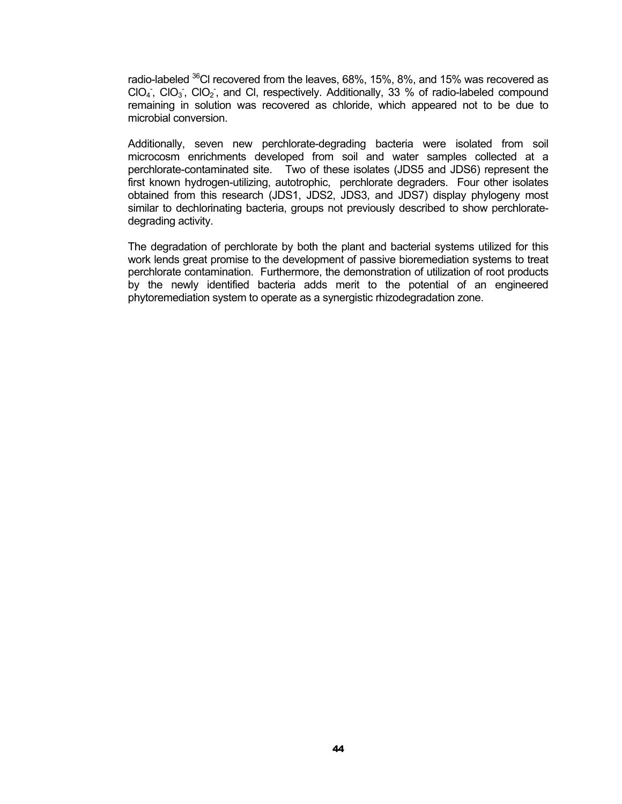radio-labeled <sup>36</sup>Cl recovered from the leaves, 68%, 15%, 8%, and 15% was recovered as  $ClO<sub>4</sub>$ ,  $ClO<sub>3</sub>$ ,  $ClO<sub>2</sub>$ , and CI, respectively. Additionally, 33 % of radio-labeled compound remaining in solution was recovered as chloride, which appeared not to be due to microbial conversion.

Additionally, seven new perchlorate-degrading bacteria were isolated from soil microcosm enrichments developed from soil and water samples collected at a perchlorate-contaminated site. Two of these isolates (JDS5 and JDS6) represent the first known hydrogen-utilizing, autotrophic, perchlorate degraders. Four other isolates obtained from this research (JDS1, JDS2, JDS3, and JDS7) display phylogeny most similar to dechlorinating bacteria, groups not previously described to show perchloratedegrading activity.

The degradation of perchlorate by both the plant and bacterial systems utilized for this work lends great promise to the development of passive bioremediation systems to treat perchlorate contamination. Furthermore, the demonstration of utilization of root products by the newly identified bacteria adds merit to the potential of an engineered phytoremediation system to operate as a synergistic rhizodegradation zone.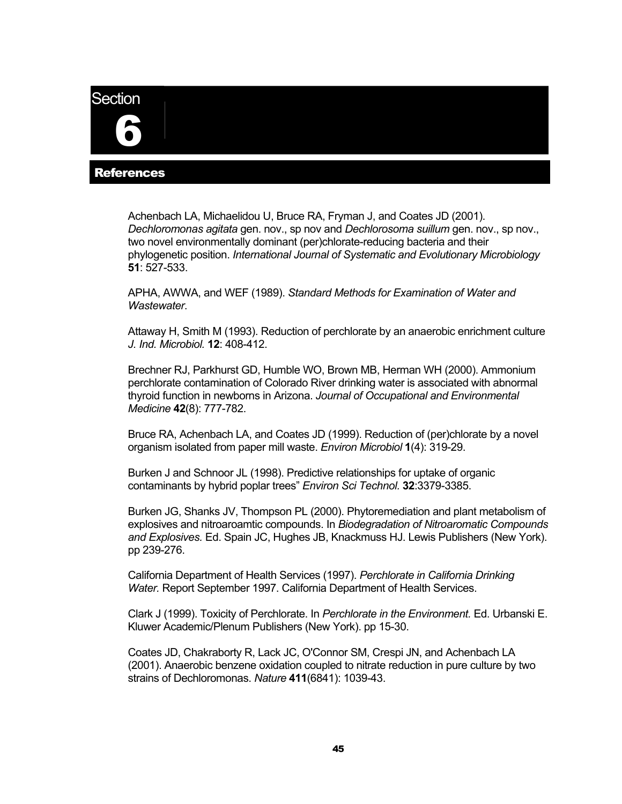# <span id="page-46-0"></span>**Section**

6

## **References**

Achenbach LA, Michaelidou U, Bruce RA, Fryman J, and Coates JD (2001). *Dechloromonas agitata* gen. nov., sp nov and *Dechlorosoma suillum* gen. nov., sp nov., two novel environmentally dominant (per)chlorate-reducing bacteria and their phylogenetic position. *International Journal of Systematic and Evolutionary Microbiology*  **51**: 527-533.

APHA, AWWA, and WEF (1989). *Standard Methods for Examination of Water and Wastewater*.

Attaway H, Smith M (1993). Reduction of perchlorate by an anaerobic enrichment culture *J. Ind. Microbiol.* **12**: 408-412.

Brechner RJ, Parkhurst GD, Humble WO, Brown MB, Herman WH (2000). Ammonium perchlorate contamination of Colorado River drinking water is associated with abnormal thyroid function in newborns in Arizona. *Journal of Occupational and Environmental Medicine* **42**(8): 777-782.

Bruce RA, Achenbach LA, and Coates JD (1999). Reduction of (per)chlorate by a novel organism isolated from paper mill waste. *Environ Microbiol* **1**(4): 319-29.

Burken J and Schnoor JL (1998). Predictive relationships for uptake of organic contaminants by hybrid poplar trees" *Environ Sci Technol.* **32**:3379-3385.

Burken JG, Shanks JV, Thompson PL (2000). Phytoremediation and plant metabolism of explosives and nitroaroamtic compounds. In *Biodegradation of Nitroaromatic Compounds and Explosives.* Ed. Spain JC, Hughes JB, Knackmuss HJ. Lewis Publishers (New York). pp 239-276.

California Department of Health Services (1997). *Perchlorate in California Drinking Water.* Report September 1997. California Department of Health Services.

Clark J (1999). Toxicity of Perchlorate. In *Perchlorate in the Environment.* Ed. Urbanski E. Kluwer Academic/Plenum Publishers (New York). pp 15-30.

Coates JD, Chakraborty R, Lack JC, O'Connor SM, Crespi JN, and Achenbach LA (2001). Anaerobic benzene oxidation coupled to nitrate reduction in pure culture by two strains of Dechloromonas. *Nature* **411**(6841): 1039-43.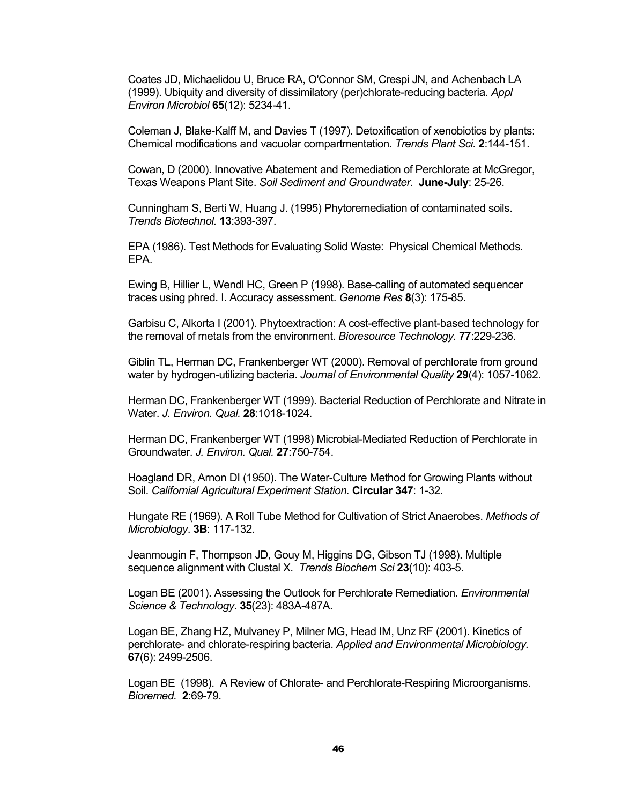Coates JD, Michaelidou U, Bruce RA, O'Connor SM, Crespi JN, and Achenbach LA (1999). Ubiquity and diversity of dissimilatory (per)chlorate-reducing bacteria. *Appl Environ Microbiol* **65**(12): 5234-41.

Coleman J, Blake-Kalff M, and Davies T (1997). Detoxification of xenobiotics by plants: Chemical modifications and vacuolar compartmentation. *Trends Plant Sci.* **2**:144-151.

Cowan, D (2000). Innovative Abatement and Remediation of Perchlorate at McGregor, Texas Weapons Plant Site. *Soil Sediment and Groundwater*. **June-July**: 25-26.

Cunningham S, Berti W, Huang J. (1995) Phytoremediation of contaminated soils. *Trends Biotechnol.* **13**:393-397.

EPA (1986). Test Methods for Evaluating Solid Waste: Physical Chemical Methods. EPA.

Ewing B, Hillier L, Wendl HC, Green P (1998). Base-calling of automated sequencer traces using phred. I. Accuracy assessment. *Genome Res* **8**(3): 175-85.

Garbisu C, Alkorta I (2001). Phytoextraction: A cost-effective plant-based technology for the removal of metals from the environment. *Bioresource Technology.* **77**:229-236.

Giblin TL, Herman DC, Frankenberger WT (2000). Removal of perchlorate from ground water by hydrogen-utilizing bacteria. *Journal of Environmental Quality* **29**(4): 1057-1062.

Herman DC, Frankenberger WT (1999). Bacterial Reduction of Perchlorate and Nitrate in Water. *J. Environ. Qual.* **28**:1018-1024.

Herman DC, Frankenberger WT (1998) Microbial-Mediated Reduction of Perchlorate in Groundwater. *J. Environ. Qual.* **27**:750-754.

Hoagland DR, Arnon DI (1950). The Water-Culture Method for Growing Plants without Soil. *Californial Agricultural Experiment Station.* **Circular 347**: 1-32.

Hungate RE (1969). A Roll Tube Method for Cultivation of Strict Anaerobes. *Methods of Microbiology*. **3B**: 117-132.

Jeanmougin F, Thompson JD, Gouy M, Higgins DG, Gibson TJ (1998). Multiple sequence alignment with Clustal X. *Trends Biochem Sci* **23**(10): 403-5.

Logan BE (2001). Assessing the Outlook for Perchlorate Remediation. *Environmental Science & Technology.* **35**(23): 483A-487A.

Logan BE, Zhang HZ, Mulvaney P, Milner MG, Head IM, Unz RF (2001). Kinetics of perchlorate- and chlorate-respiring bacteria. *Applied and Environmental Microbiology.* **67**(6): 2499-2506.

Logan BE (1998). A Review of Chlorate- and Perchlorate-Respiring Microorganisms. *Bioremed.* **2**:69-79.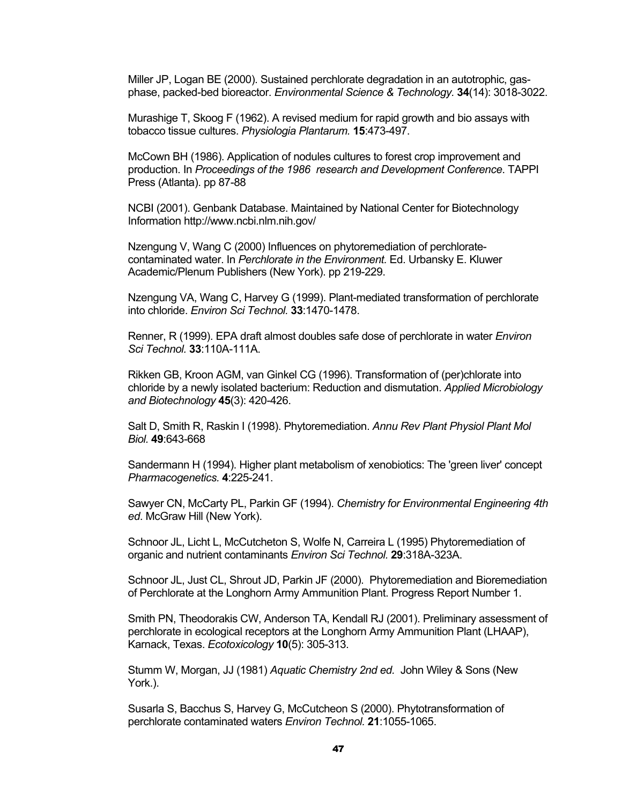Miller JP, Logan BE (2000). Sustained perchlorate degradation in an autotrophic, gasphase, packed-bed bioreactor. *Environmental Science & Technology.* **34**(14): 3018-3022.

Murashige T, Skoog F (1962). A revised medium for rapid growth and bio assays with tobacco tissue cultures. *Physiologia Plantarum.* **15**:473-497.

McCown BH (1986). Application of nodules cultures to forest crop improvement and production. In *Proceedings of the 1986 research and Development Conference*. TAPPI Press (Atlanta). pp 87-88

NCBI (2001). Genbank Database. Maintained by National Center for Biotechnology Information http://www.ncbi.nlm.nih.gov/

Nzengung V, Wang C (2000) Influences on phytoremediation of perchloratecontaminated water. In *Perchlorate in the Environment.* Ed. Urbansky E. Kluwer Academic/Plenum Publishers (New York). pp 219-229.

Nzengung VA, Wang C, Harvey G (1999). Plant-mediated transformation of perchlorate into chloride. *Environ Sci Technol.* **33**:1470-1478.

Renner, R (1999). EPA draft almost doubles safe dose of perchlorate in water *Environ Sci Technol.* **33**:110A-111A.

Rikken GB, Kroon AGM, van Ginkel CG (1996). Transformation of (per)chlorate into chloride by a newly isolated bacterium: Reduction and dismutation. *Applied Microbiology and Biotechnology* **45**(3): 420-426.

Salt D, Smith R, Raskin I (1998). Phytoremediation. *Annu Rev Plant Physiol Plant Mol Biol.* **49**:643-668

Sandermann H (1994). Higher plant metabolism of xenobiotics: The 'green liver' concept *Pharmacogenetics.* **4**:225-241.

Sawyer CN, McCarty PL, Parkin GF (1994). *Chemistry for Environmental Engineering 4th ed*. McGraw Hill (New York).

Schnoor JL, Licht L, McCutcheton S, Wolfe N, Carreira L (1995) Phytoremediation of organic and nutrient contaminants *Environ Sci Technol.* **29**:318A-323A.

Schnoor JL, Just CL, Shrout JD, Parkin JF (2000). Phytoremediation and Bioremediation of Perchlorate at the Longhorn Army Ammunition Plant. Progress Report Number 1.

Smith PN, Theodorakis CW, Anderson TA, Kendall RJ (2001). Preliminary assessment of perchlorate in ecological receptors at the Longhorn Army Ammunition Plant (LHAAP), Karnack, Texas. *Ecotoxicology* **10**(5): 305-313.

Stumm W, Morgan, JJ (1981) *Aquatic Chemistry 2nd ed.* John Wiley & Sons (New York.).

Susarla S, Bacchus S, Harvey G, McCutcheon S (2000). Phytotransformation of perchlorate contaminated waters *Environ Technol.* **21**:1055-1065.